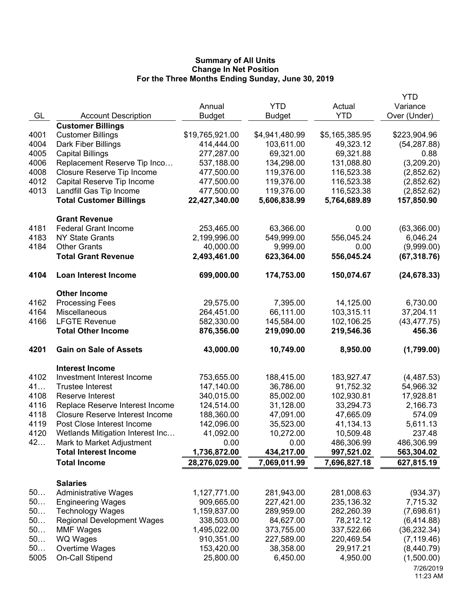|              |                                                                           |                          |                        |                        | <b>YTD</b>              |
|--------------|---------------------------------------------------------------------------|--------------------------|------------------------|------------------------|-------------------------|
|              |                                                                           | Annual                   | <b>YTD</b>             | Actual                 | Variance                |
| GL           | <b>Account Description</b>                                                | <b>Budget</b>            | <b>Budget</b>          | <b>YTD</b>             | Over (Under)            |
|              | <b>Customer Billings</b>                                                  |                          |                        |                        |                         |
| 4001         | <b>Customer Billings</b>                                                  | \$19,765,921.00          | \$4,941,480.99         | \$5,165,385.95         | \$223,904.96            |
| 4004         | Dark Fiber Billings                                                       | 414,444.00               | 103,611.00             | 49,323.12              | (54, 287.88)            |
| 4005         | <b>Capital Billings</b>                                                   | 277,287.00               | 69,321.00              | 69,321.88              | 0.88                    |
| 4006         | Replacement Reserve Tip Inco                                              | 537,188.00               | 134,298.00             | 131,088.80             | (3,209.20)              |
| 4008         | Closure Reserve Tip Income                                                | 477,500.00               | 119,376.00             | 116,523.38             | (2,852.62)              |
| 4012         | Capital Reserve Tip Income                                                | 477,500.00               | 119,376.00             | 116,523.38             | (2,852.62)              |
| 4013         | Landfill Gas Tip Income                                                   | 477,500.00               | 119,376.00             | 116,523.38             | (2,852.62)              |
|              | <b>Total Customer Billings</b>                                            | 22,427,340.00            | 5,606,838.99           | 5,764,689.89           | 157,850.90              |
|              | <b>Grant Revenue</b>                                                      |                          |                        |                        |                         |
| 4181         | <b>Federal Grant Income</b>                                               | 253,465.00               | 63,366.00              | 0.00                   | (63,366.00)             |
| 4183         | <b>NY State Grants</b>                                                    | 2,199,996.00             | 549,999.00             | 556,045.24             | 6,046.24                |
| 4184         | <b>Other Grants</b>                                                       | 40,000.00                | 9,999.00               | 0.00                   | (9,999.00)              |
|              | <b>Total Grant Revenue</b>                                                | 2,493,461.00             | 623,364.00             | 556,045.24             | (67, 318.76)            |
|              |                                                                           |                          |                        |                        |                         |
| 4104         | <b>Loan Interest Income</b>                                               | 699,000.00               | 174,753.00             | 150,074.67             | (24, 678.33)            |
|              | <b>Other Income</b>                                                       |                          |                        |                        |                         |
| 4162         | <b>Processing Fees</b>                                                    | 29,575.00                | 7,395.00               | 14,125.00              | 6,730.00                |
| 4164         | Miscellaneous                                                             | 264,451.00               | 66,111.00              | 103,315.11             | 37,204.11               |
| 4166         | <b>LFGTE Revenue</b>                                                      | 582,330.00               | 145,584.00             | 102,106.25             | (43, 477.75)            |
|              | <b>Total Other Income</b>                                                 | 876,356.00               | 219,090.00             | 219,546.36             | 456.36                  |
| 4201         | <b>Gain on Sale of Assets</b>                                             | 43,000.00                | 10,749.00              | 8,950.00               | (1,799.00)              |
|              |                                                                           |                          |                        |                        |                         |
|              | <b>Interest Income</b>                                                    |                          |                        |                        |                         |
| 4102         | Investment Interest Income                                                | 753,655.00               | 188,415.00             | 183,927.47             | (4,487.53)              |
| 41           | <b>Trustee Interest</b>                                                   | 147,140.00               | 36,786.00              | 91,752.32              | 54,966.32               |
| 4108         | Reserve Interest                                                          | 340,015.00               | 85,002.00              | 102,930.81             | 17,928.81               |
| 4116         | Replace Reserve Interest Income<br><b>Closure Reserve Interest Income</b> | 124,514.00               | 31,128.00              | 33,294.73              | 2,166.73                |
| 4118<br>4119 | Post Close Interest Income                                                | 188,360.00<br>142,096.00 | 47,091.00<br>35,523.00 | 47,665.09              | 574.09                  |
| 4120         | Wetlands Mitigation Interest Inc                                          | 41,092.00                | 10,272.00              | 41,134.13<br>10,509.48 | 5,611.13<br>237.48      |
| 42           | Mark to Market Adjustment                                                 | 0.00                     | 0.00                   | 486,306.99             | 486,306.99              |
|              | <b>Total Interest Income</b>                                              | 1,736,872.00             | 434,217.00             | 997,521.02             | 563,304.02              |
|              |                                                                           |                          |                        |                        |                         |
|              | <b>Total Income</b>                                                       | 28,276,029.00            | 7,069,011.99           | 7,696,827.18           | 627,815.19              |
|              | <b>Salaries</b>                                                           |                          |                        |                        |                         |
| 50           | <b>Administrative Wages</b>                                               | 1,127,771.00             | 281,943.00             | 281,008.63             | (934.37)                |
| 50           | <b>Engineering Wages</b>                                                  | 909,665.00               | 227,421.00             | 235,136.32             | 7,715.32                |
| 50           | <b>Technology Wages</b>                                                   | 1,159,837.00             | 289,959.00             | 282,260.39             | (7,698.61)              |
| 50           | <b>Regional Development Wages</b>                                         | 338,503.00               | 84,627.00              | 78,212.12              | (6,414.88)              |
| 50           | <b>MMF Wages</b>                                                          | 1,495,022.00             | 373,755.00             | 337,522.66             | (36, 232.34)            |
| 50           | <b>WQ Wages</b>                                                           | 910,351.00               | 227,589.00             | 220,469.54             | (7, 119.46)             |
|              |                                                                           |                          |                        |                        |                         |
| 50           |                                                                           |                          |                        |                        |                         |
| 5005         | Overtime Wages                                                            | 153,420.00<br>25,800.00  | 38,358.00<br>6,450.00  | 29,917.21<br>4,950.00  | (8,440.79)              |
|              | On-Call Stipend                                                           |                          |                        |                        | (1,500.00)<br>7/26/2019 |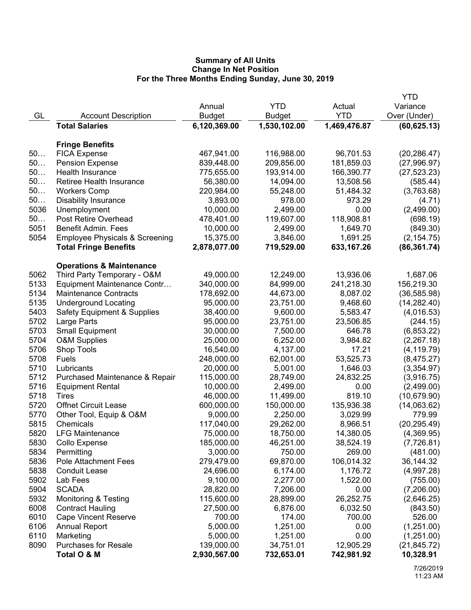|      |                                           |               |              |              | YTD          |
|------|-------------------------------------------|---------------|--------------|--------------|--------------|
|      |                                           | Annual        | <b>YTD</b>   | Actual       | Variance     |
| GL   | <b>Account Description</b>                | <b>Budget</b> | Budget       | <b>YTD</b>   | Over (Under) |
|      | <b>Total Salaries</b>                     | 6,120,369.00  | 1,530,102.00 | 1,469,476.87 | (60, 625.13) |
|      |                                           |               |              |              |              |
|      | <b>Fringe Benefits</b>                    |               |              |              |              |
| 50   | <b>FICA Expense</b>                       | 467,941.00    | 116,988.00   | 96,701.53    | (20, 286.47) |
| 50   | <b>Pension Expense</b>                    | 839,448.00    | 209,856.00   | 181,859.03   | (27,996.97)  |
| 50   | <b>Health Insurance</b>                   | 775,655.00    | 193,914.00   | 166,390.77   | (27, 523.23) |
| 50   | <b>Retiree Health Insurance</b>           | 56,380.00     | 14,094.00    | 13,508.56    | (585.44)     |
| 50   | <b>Workers Comp</b>                       | 220,984.00    | 55,248.00    | 51,484.32    | (3,763.68)   |
| 50   | <b>Disability Insurance</b>               | 3,893.00      | 978.00       | 973.29       | (4.71)       |
| 5036 | Unemployment                              | 10,000.00     | 2,499.00     | 0.00         | (2,499.00)   |
| 50   | Post Retire Overhead                      | 478,401.00    | 119,607.00   | 118,908.81   | (698.19)     |
| 5051 | <b>Benefit Admin. Fees</b>                | 10,000.00     | 2,499.00     | 1,649.70     | (849.30)     |
| 5054 | <b>Employee Physicals &amp; Screening</b> | 15,375.00     | 3,846.00     | 1,691.25     | (2, 154.75)  |
|      | <b>Total Fringe Benefits</b>              | 2,878,077.00  | 719,529.00   | 633,167.26   | (86, 361.74) |
|      | <b>Operations &amp; Maintenance</b>       |               |              |              |              |
| 5062 | Third Party Temporary - O&M               | 49,000.00     | 12,249.00    | 13,936.06    | 1,687.06     |
| 5133 | Equipment Maintenance Contr               | 340,000.00    | 84,999.00    | 241,218.30   | 156,219.30   |
| 5134 | <b>Maintenance Contracts</b>              | 178,692.00    | 44,673.00    | 8,087.02     | (36, 585.98) |
| 5135 | <b>Underground Locating</b>               | 95,000.00     | 23,751.00    | 9,468.60     | (14, 282.40) |
| 5403 | <b>Safety Equipment &amp; Supplies</b>    | 38,400.00     | 9,600.00     | 5,583.47     | (4,016.53)   |
| 5702 | Large Parts                               | 95,000.00     | 23,751.00    | 23,506.85    | (244.15)     |
| 5703 | <b>Small Equipment</b>                    | 30,000.00     | 7,500.00     | 646.78       | (6,853.22)   |
| 5704 | <b>O&amp;M Supplies</b>                   | 25,000.00     | 6,252.00     | 3,984.82     | (2,267.18)   |
| 5706 | Shop Tools                                | 16,540.00     | 4,137.00     | 17.21        | (4, 119.79)  |
| 5708 | Fuels                                     | 248,000.00    | 62,001.00    | 53,525.73    | (8, 475.27)  |
| 5710 | Lubricants                                | 20,000.00     | 5,001.00     | 1,646.03     | (3,354.97)   |
| 5712 | Purchased Maintenance & Repair            | 115,000.00    | 28,749.00    | 24,832.25    | (3,916.75)   |
| 5716 | <b>Equipment Rental</b>                   | 10,000.00     | 2,499.00     | 0.00         | (2,499.00)   |
| 5718 | Tires                                     | 46,000.00     | 11,499.00    | 819.10       | (10,679.90)  |
| 5720 | <b>Offnet Circuit Lease</b>               | 600,000.00    | 150,000.00   | 135,936.38   | (14,063.62)  |
| 5770 | Other Tool, Equip & O&M                   | 9,000.00      | 2,250.00     | 3,029.99     | 779.99       |
| 5815 | Chemicals                                 | 117,040.00    | 29,262.00    | 8,966.51     | (20, 295.49) |
| 5820 | <b>LFG Maintenance</b>                    | 75,000.00     | 18,750.00    | 14,380.05    | (4,369.95)   |
| 5830 | Collo Expense                             | 185,000.00    | 46,251.00    | 38,524.19    | (7,726.81)   |
| 5834 | Permitting                                | 3,000.00      | 750.00       | 269.00       | (481.00)     |
| 5836 | <b>Pole Attachment Fees</b>               | 279,479.00    | 69,870.00    | 106,014.32   | 36,144.32    |
| 5838 | <b>Conduit Lease</b>                      | 24,696.00     | 6,174.00     | 1,176.72     | (4,997.28)   |
| 5902 | Lab Fees                                  | 9,100.00      | 2,277.00     | 1,522.00     | (755.00)     |
| 5904 | <b>SCADA</b>                              | 28,820.00     | 7,206.00     | 0.00         | (7,206.00)   |
| 5932 | <b>Monitoring &amp; Testing</b>           | 115,600.00    | 28,899.00    | 26,252.75    | (2,646.25)   |
| 6008 | <b>Contract Hauling</b>                   | 27,500.00     | 6,876.00     | 6,032.50     | (843.50)     |
| 6010 | <b>Cape Vincent Reserve</b>               | 700.00        | 174.00       | 700.00       | 526.00       |
| 6106 | <b>Annual Report</b>                      | 5,000.00      | 1,251.00     | 0.00         | (1,251.00)   |
| 6110 | Marketing                                 | 5,000.00      | 1,251.00     | 0.00         | (1,251.00)   |
| 8090 | <b>Purchases for Resale</b>               | 139,000.00    | 34,751.01    | 12,905.29    | (21, 845.72) |
|      | Total O & M                               | 2,930,567.00  | 732,653.01   | 742,981.92   | 10,328.91    |
|      |                                           |               |              |              |              |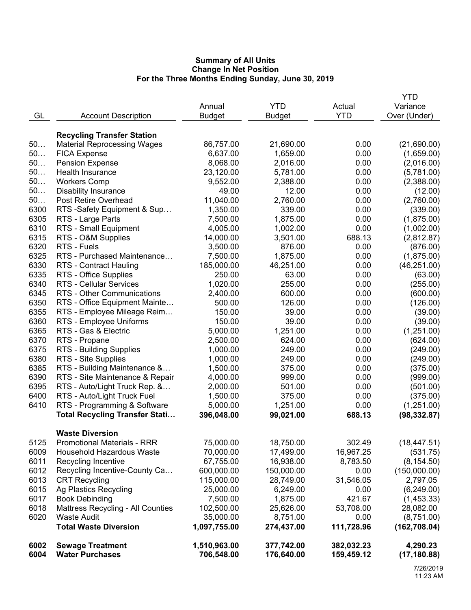|      |                                                              |                           |                        |                       | <b>YTD</b>                  |
|------|--------------------------------------------------------------|---------------------------|------------------------|-----------------------|-----------------------------|
|      |                                                              | Annual                    | <b>YTD</b>             | Actual                | Variance                    |
| GL   | <b>Account Description</b>                                   | <b>Budget</b>             | <b>Budget</b>          | <b>YTD</b>            | Over (Under)                |
|      |                                                              |                           |                        |                       |                             |
|      | <b>Recycling Transfer Station</b>                            |                           |                        |                       |                             |
| 50   | <b>Material Reprocessing Wages</b>                           | 86,757.00                 | 21,690.00              | 0.00                  | (21,690.00)                 |
| 50   | <b>FICA Expense</b>                                          | 6,637.00                  | 1,659.00               | 0.00                  | (1,659.00)                  |
| 50   | <b>Pension Expense</b>                                       | 8,068.00                  | 2,016.00               | 0.00                  | (2,016.00)                  |
| 50   | Health Insurance                                             | 23,120.00                 | 5,781.00               | 0.00                  | (5,781.00)                  |
| 50   | <b>Workers Comp</b>                                          | 9,552.00                  | 2,388.00               | 0.00                  | (2,388.00)                  |
| 50   | <b>Disability Insurance</b>                                  | 49.00                     | 12.00                  | 0.00                  | (12.00)                     |
| 50   | <b>Post Retire Overhead</b>                                  | 11,040.00                 | 2,760.00               | 0.00                  | (2,760.00)                  |
| 6300 | RTS -Safety Equipment & Sup                                  | 1,350.00                  | 339.00                 | 0.00                  | (339.00)                    |
| 6305 | RTS - Large Parts                                            | 7,500.00                  | 1,875.00               | 0.00                  | (1,875.00)                  |
| 6310 | RTS - Small Equipment                                        | 4,005.00                  | 1,002.00               | 0.00                  | (1,002.00)                  |
| 6315 | RTS - O&M Supplies                                           | 14,000.00                 | 3,501.00               | 688.13                | (2,812.87)                  |
| 6320 | RTS - Fuels                                                  | 3,500.00                  | 876.00                 | 0.00                  | (876.00)                    |
| 6325 | RTS - Purchased Maintenance                                  | 7,500.00                  | 1,875.00               | 0.00                  | (1,875.00)                  |
| 6330 | <b>RTS - Contract Hauling</b>                                | 185,000.00                | 46,251.00              | 0.00                  | (46, 251.00)                |
| 6335 | RTS - Office Supplies                                        | 250.00                    | 63.00                  | 0.00                  | (63.00)                     |
| 6340 | <b>RTS - Cellular Services</b>                               | 1,020.00                  | 255.00                 | 0.00                  | (255.00)                    |
| 6345 | RTS - Other Communications                                   | 2,400.00                  | 600.00                 | 0.00                  | (600.00)                    |
| 6350 | RTS - Office Equipment Mainte                                | 500.00                    | 126.00                 | 0.00                  | (126.00)                    |
| 6355 | RTS - Employee Mileage Reim                                  | 150.00                    | 39.00                  | 0.00                  | (39.00)                     |
| 6360 | RTS - Employee Uniforms                                      | 150.00                    | 39.00                  | 0.00                  | (39.00)                     |
| 6365 | RTS - Gas & Electric                                         | 5,000.00                  | 1,251.00               | 0.00                  | (1,251.00)                  |
| 6370 | RTS - Propane                                                | 2,500.00                  | 624.00                 | 0.00                  | (624.00)                    |
| 6375 | RTS - Building Supplies                                      | 1,000.00                  | 249.00                 | 0.00                  | (249.00)                    |
| 6380 | RTS - Site Supplies                                          | 1,000.00                  | 249.00                 | 0.00                  | (249.00)                    |
| 6385 | RTS - Building Maintenance &                                 | 1,500.00                  | 375.00                 | 0.00                  | (375.00)                    |
| 6390 | RTS - Site Maintenance & Repair                              | 4,000.00                  | 999.00                 | 0.00                  | (999.00)                    |
| 6395 | RTS - Auto/Light Truck Rep. &                                | 2,000.00                  | 501.00                 | 0.00                  | (501.00)                    |
| 6400 | RTS - Auto/Light Truck Fuel                                  | 1,500.00                  | 375.00                 | 0.00                  | (375.00)                    |
| 6410 | RTS - Programming & Software                                 | 5,000.00                  | 1,251.00               | 0.00                  | (1,251.00)                  |
|      | <b>Total Recycling Transfer Stati</b>                        | 396,048.00                | 99,021.00              | 688.13                | (98, 332.87)                |
|      |                                                              |                           |                        |                       |                             |
| 5125 | <b>Waste Diversion</b><br><b>Promotional Materials - RRR</b> |                           |                        | 302.49                |                             |
| 6009 | Household Hazardous Waste                                    | 75,000.00<br>70,000.00    | 18,750.00              |                       | (18, 447.51)                |
| 6011 |                                                              | 67,755.00                 | 17,499.00<br>16,938.00 | 16,967.25<br>8,783.50 | (531.75)<br>(8, 154.50)     |
| 6012 | Recycling Incentive<br>Recycling Incentive-County Ca         | 600,000.00                |                        | 0.00                  |                             |
| 6013 | <b>CRT Recycling</b>                                         |                           | 150,000.00             |                       | (150,000.00)                |
| 6015 | <b>Ag Plastics Recycling</b>                                 | 115,000.00                | 28,749.00              | 31,546.05             | 2,797.05                    |
| 6017 |                                                              | 25,000.00                 | 6,249.00               | 0.00                  | (6, 249.00)                 |
| 6018 | <b>Book Debinding</b>                                        | 7,500.00                  | 1,875.00               | 421.67                | (1,453.33)                  |
| 6020 | Mattress Recycling - All Counties                            | 102,500.00                | 25,626.00              | 53,708.00             | 28,082.00                   |
|      | <b>Waste Audit</b><br><b>Total Waste Diversion</b>           | 35,000.00<br>1,097,755.00 | 8,751.00<br>274,437.00 | 0.00<br>111,728.96    | (8,751.00)<br>(162, 708.04) |
|      |                                                              |                           |                        |                       |                             |
| 6002 | <b>Sewage Treatment</b>                                      | 1,510,963.00              | 377,742.00             | 382,032.23            | 4,290.23                    |
| 6004 | <b>Water Purchases</b>                                       | 706,548.00                | 176,640.00             | 159,459.12            | (17, 180.88)                |
|      |                                                              |                           |                        |                       |                             |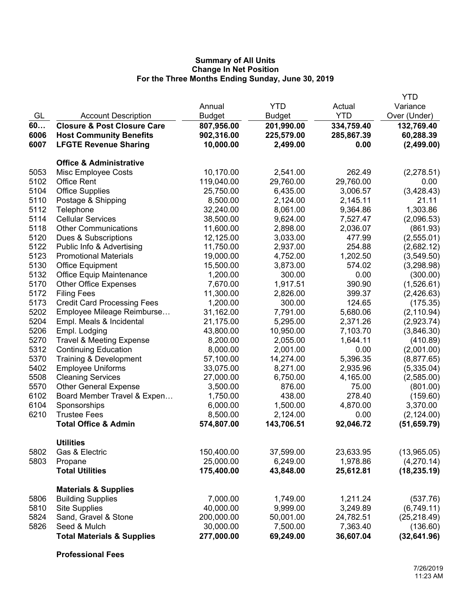|      |                                        |               |               |            | <b>YTD</b>   |
|------|----------------------------------------|---------------|---------------|------------|--------------|
|      |                                        | Annual        | <b>YTD</b>    | Actual     | Variance     |
| GL   | <b>Account Description</b>             | <b>Budget</b> | <b>Budget</b> | <b>YTD</b> | Over (Under) |
| 60   | <b>Closure &amp; Post Closure Care</b> | 807,956.00    | 201,990.00    | 334,759.40 | 132,769.40   |
| 6006 | <b>Host Community Benefits</b>         | 902,316.00    | 225,579.00    | 285,867.39 | 60,288.39    |
| 6007 | <b>LFGTE Revenue Sharing</b>           | 10,000.00     | 2,499.00      | 0.00       | (2,499.00)   |
|      | <b>Office &amp; Administrative</b>     |               |               |            |              |
| 5053 | Misc Employee Costs                    | 10,170.00     | 2,541.00      | 262.49     | (2,278.51)   |
| 5102 | <b>Office Rent</b>                     | 119,040.00    | 29,760.00     | 29,760.00  | 0.00         |
| 5104 | <b>Office Supplies</b>                 | 25,750.00     | 6,435.00      | 3,006.57   | (3, 428.43)  |
| 5110 | Postage & Shipping                     | 8,500.00      | 2,124.00      | 2,145.11   | 21.11        |
| 5112 | Telephone                              | 32,240.00     | 8,061.00      | 9,364.86   | 1,303.86     |
| 5114 | <b>Cellular Services</b>               | 38,500.00     | 9,624.00      | 7,527.47   | (2,096.53)   |
| 5118 | <b>Other Communications</b>            | 11,600.00     | 2,898.00      | 2,036.07   | (861.93)     |
| 5120 | Dues & Subscriptions                   | 12,125.00     | 3,033.00      | 477.99     | (2,555.01)   |
| 5122 | Public Info & Advertising              | 11,750.00     | 2,937.00      | 254.88     | (2,682.12)   |
| 5123 | <b>Promotional Materials</b>           | 19,000.00     | 4,752.00      | 1,202.50   | (3,549.50)   |
| 5130 | <b>Office Equipment</b>                | 15,500.00     | 3,873.00      | 574.02     | (3,298.98)   |
| 5132 | <b>Office Equip Maintenance</b>        | 1,200.00      | 300.00        | 0.00       | (300.00)     |
| 5170 | <b>Other Office Expenses</b>           | 7,670.00      | 1,917.51      | 390.90     | (1,526.61)   |
| 5172 | <b>Filing Fees</b>                     | 11,300.00     | 2,826.00      | 399.37     | (2,426.63)   |
| 5173 | <b>Credit Card Processing Fees</b>     | 1,200.00      | 300.00        | 124.65     | (175.35)     |
| 5202 | Employee Mileage Reimburse             | 31,162.00     | 7,791.00      | 5,680.06   | (2, 110.94)  |
| 5204 | Empl. Meals & Incidental               | 21,175.00     | 5,295.00      | 2,371.26   | (2,923.74)   |
| 5206 | Empl. Lodging                          | 43,800.00     | 10,950.00     | 7,103.70   | (3,846.30)   |
| 5270 | <b>Travel &amp; Meeting Expense</b>    | 8,200.00      | 2,055.00      | 1,644.11   | (410.89)     |
| 5312 | <b>Continuing Education</b>            | 8,000.00      | 2,001.00      | 0.00       | (2,001.00)   |
| 5370 | Training & Development                 | 57,100.00     | 14,274.00     | 5,396.35   | (8,877.65)   |
| 5402 | <b>Employee Uniforms</b>               | 33,075.00     | 8,271.00      | 2,935.96   | (5,335.04)   |
| 5508 | <b>Cleaning Services</b>               | 27,000.00     | 6,750.00      | 4,165.00   | (2,585.00)   |
| 5570 | <b>Other General Expense</b>           | 3,500.00      | 876.00        | 75.00      | (801.00)     |
| 6102 | Board Member Travel & Expen            | 1,750.00      | 438.00        | 278.40     | (159.60)     |
| 6104 | Sponsorships                           | 6,000.00      | 1,500.00      | 4,870.00   | 3,370.00     |
| 6210 | <b>Trustee Fees</b>                    | 8,500.00      | 2,124.00      | 0.00       | (2, 124.00)  |
|      | <b>Total Office &amp; Admin</b>        | 574,807.00    | 143,706.51    | 92,046.72  | (51, 659.79) |
|      | <b>Utilities</b>                       |               |               |            |              |
| 5802 | Gas & Electric                         | 150,400.00    | 37,599.00     | 23,633.95  | (13,965.05)  |
| 5803 | Propane                                | 25,000.00     | 6,249.00      | 1,978.86   | (4,270.14)   |
|      | <b>Total Utilities</b>                 | 175,400.00    | 43,848.00     | 25,612.81  | (18, 235.19) |
|      | <b>Materials &amp; Supplies</b>        |               |               |            |              |
| 5806 | <b>Building Supplies</b>               | 7,000.00      | 1,749.00      | 1,211.24   | (537.76)     |
| 5810 | <b>Site Supplies</b>                   | 40,000.00     | 9,999.00      | 3,249.89   | (6,749.11)   |
| 5824 | Sand, Gravel & Stone                   | 200,000.00    | 50,001.00     | 24,782.51  | (25, 218.49) |
| 5826 | Seed & Mulch                           | 30,000.00     | 7,500.00      | 7,363.40   | (136.60)     |
|      | <b>Total Materials &amp; Supplies</b>  | 277,000.00    | 69,249.00     | 36,607.04  | (32, 641.96) |

**Professional Fees**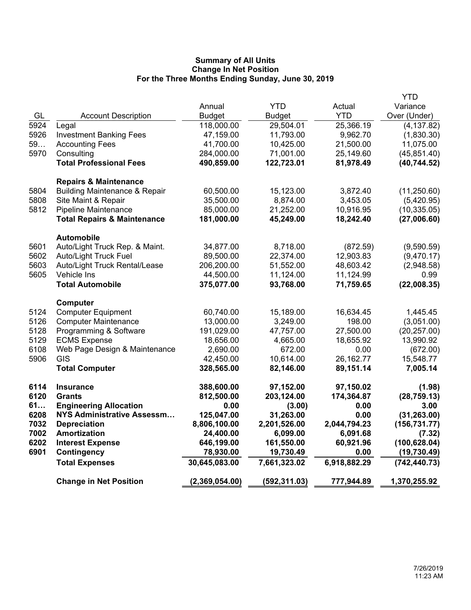|            |                                          |                             |                            |                      | <b>YTD</b>                  |
|------------|------------------------------------------|-----------------------------|----------------------------|----------------------|-----------------------------|
|            |                                          | Annual                      | <b>YTD</b>                 | Actual<br><b>YTD</b> | Variance                    |
| GL<br>5924 | <b>Account Description</b>               | <b>Budget</b><br>118,000.00 | <b>Budget</b><br>29,504.01 | 25,366.19            | Over (Under)<br>(4, 137.82) |
| 5926       | Legal<br><b>Investment Banking Fees</b>  | 47,159.00                   | 11,793.00                  | 9,962.70             | (1,830.30)                  |
| 59         | <b>Accounting Fees</b>                   | 41,700.00                   | 10,425.00                  | 21,500.00            | 11,075.00                   |
| 5970       | Consulting                               | 284,000.00                  | 71,001.00                  | 25,149.60            | (45, 851.40)                |
|            | <b>Total Professional Fees</b>           | 490,859.00                  | 122,723.01                 | 81,978.49            | (40, 744.52)                |
|            |                                          |                             |                            |                      |                             |
|            | <b>Repairs &amp; Maintenance</b>         |                             |                            |                      |                             |
| 5804       | <b>Building Maintenance &amp; Repair</b> | 60,500.00                   | 15,123.00                  | 3,872.40             | (11, 250.60)                |
| 5808       | Site Maint & Repair                      | 35,500.00                   | 8,874.00                   | 3,453.05             | (5,420.95)                  |
| 5812       | <b>Pipeline Maintenance</b>              | 85,000.00                   | 21,252.00                  | 10,916.95            | (10, 335.05)                |
|            | <b>Total Repairs &amp; Maintenance</b>   | 181,000.00                  | 45,249.00                  | 18,242.40            | (27,006.60)                 |
|            | <b>Automobile</b>                        |                             |                            |                      |                             |
| 5601       | Auto/Light Truck Rep. & Maint.           | 34,877.00                   | 8,718.00                   | (872.59)             | (9,590.59)                  |
| 5602       | <b>Auto/Light Truck Fuel</b>             | 89,500.00                   | 22,374.00                  | 12,903.83            | (9,470.17)                  |
| 5603       | Auto/Light Truck Rental/Lease            | 206,200.00                  | 51,552.00                  | 48,603.42            | (2,948.58)                  |
| 5605       | Vehicle Ins                              | 44,500.00                   | 11,124.00                  | 11,124.99            | 0.99                        |
|            | <b>Total Automobile</b>                  | 375,077.00                  | 93,768.00                  | 71,759.65            | (22,008.35)                 |
|            | Computer                                 |                             |                            |                      |                             |
| 5124       | <b>Computer Equipment</b>                | 60,740.00                   | 15,189.00                  | 16,634.45            | 1,445.45                    |
| 5126       | <b>Computer Maintenance</b>              | 13,000.00                   | 3,249.00                   | 198.00               | (3,051.00)                  |
| 5128       | Programming & Software                   | 191,029.00                  | 47,757.00                  | 27,500.00            | (20, 257.00)                |
| 5129       | <b>ECMS Expense</b>                      | 18,656.00                   | 4,665.00                   | 18,655.92            | 13,990.92                   |
| 6108       | Web Page Design & Maintenance            | 2,690.00                    | 672.00                     | 0.00                 | (672.00)                    |
| 5906       | <b>GIS</b>                               | 42,450.00                   | 10,614.00                  | 26,162.77            | 15,548.77                   |
|            | <b>Total Computer</b>                    | 328,565.00                  | 82,146.00                  | 89,151.14            | 7,005.14                    |
| 6114       | <b>Insurance</b>                         | 388,600.00                  | 97,152.00                  | 97,150.02            | (1.98)                      |
| 6120       | <b>Grants</b>                            | 812,500.00                  | 203,124.00                 | 174,364.87           | (28, 759.13)                |
| 61         | <b>Engineering Allocation</b>            | 0.00                        | (3.00)                     | 0.00                 | 3.00                        |
| 6208       | NYS Administrative Assessm               | 125,047.00                  | 31,263.00                  | 0.00                 | (31, 263.00)                |
| 7032       | <b>Depreciation</b>                      | 8,806,100.00                | 2,201,526.00               | 2,044,794.23         | (156, 731.77)               |
| 7002       | <b>Amortization</b>                      | 24,400.00                   | 6,099.00                   | 6,091.68             | (7.32)                      |
| 6202       | <b>Interest Expense</b>                  | 646,199.00                  | 161,550.00                 | 60,921.96            | (100, 628.04)               |
| 6901       | <b>Contingency</b>                       | 78,930.00                   | 19,730.49                  | 0.00                 | (19, 730.49)                |
|            | <b>Total Expenses</b>                    | 30,645,083.00               | 7,661,323.02               | 6,918,882.29         | (742, 440.73)               |
|            | <b>Change in Net Position</b>            | (2,369,054.00)              | (592, 311.03)              | 777,944.89           | 1,370,255.92                |
|            |                                          |                             |                            |                      |                             |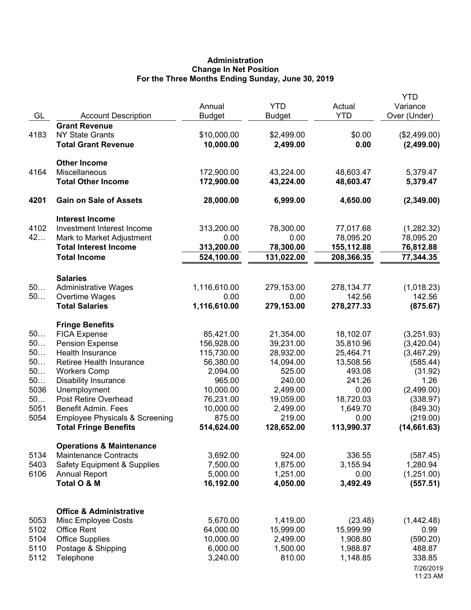# **Administration Change In Net Position For the Three Months Ending Sunday, June 30, 2019**

| GL           | <b>Account Description</b>                                             | Annual<br><b>Budget</b> | <b>YTD</b><br><b>Budget</b> | Actual<br><b>YTD</b>     | <b>YTD</b><br>Variance<br>Over (Under) |
|--------------|------------------------------------------------------------------------|-------------------------|-----------------------------|--------------------------|----------------------------------------|
| 4183         | <b>Grant Revenue</b><br><b>NY State Grants</b>                         | \$10,000.00             | \$2,499.00                  | \$0.00                   | (\$2,499.00)                           |
|              | <b>Total Grant Revenue</b>                                             | 10,000.00               | 2,499.00                    | 0.00                     | (2,499.00)                             |
|              | <b>Other Income</b>                                                    |                         |                             |                          |                                        |
| 4164         | Miscellaneous                                                          | 172,900.00              | 43,224.00                   | 48,603.47                | 5,379.47                               |
|              | <b>Total Other Income</b>                                              | 172,900.00              | 43,224.00                   | 48,603.47                | 5,379.47                               |
| 4201         | <b>Gain on Sale of Assets</b>                                          | 28,000.00               | 6,999.00                    | 4,650.00                 | (2,349.00)                             |
|              | <b>Interest Income</b>                                                 |                         |                             |                          |                                        |
| 4102         | Investment Interest Income                                             | 313,200.00              | 78,300.00                   | 77,017.68                | (1,282.32)                             |
| 42           | Mark to Market Adjustment<br><b>Total Interest Income</b>              | 0.00<br>313,200.00      | 0.00<br>78,300.00           | 78,095.20                | 78,095.20                              |
|              | <b>Total Income</b>                                                    | 524,100.00              | 131,022.00                  | 155,112.88<br>208,366.35 | 76,812.88<br>77,344.35                 |
|              |                                                                        |                         |                             |                          |                                        |
|              | <b>Salaries</b>                                                        |                         |                             |                          |                                        |
| 50<br>50     | <b>Administrative Wages</b><br>Overtime Wages                          | 1,116,610.00<br>0.00    | 279,153.00<br>0.00          | 278,134.77<br>142.56     | (1,018.23)<br>142.56                   |
|              | <b>Total Salaries</b>                                                  | 1,116,610.00            | 279,153.00                  | 278,277.33               | (875.67)                               |
|              |                                                                        |                         |                             |                          |                                        |
| 50           | <b>Fringe Benefits</b><br><b>FICA Expense</b>                          | 85,421.00               | 21,354.00                   | 18,102.07                | (3,251.93)                             |
| 50           | <b>Pension Expense</b>                                                 | 156,928.00              | 39,231.00                   | 35,810.96                | (3,420.04)                             |
| 50           | Health Insurance                                                       | 115,730.00              | 28,932.00                   | 25,464.71                | (3,467.29)                             |
| 50           | Retiree Health Insurance                                               | 56,380.00               | 14,094.00                   | 13,508.56                | (585.44)                               |
| 50           | <b>Workers Comp</b>                                                    | 2,094.00                | 525.00                      | 493.08                   | (31.92)                                |
| 50           | <b>Disability Insurance</b>                                            | 965.00                  | 240.00                      | 241.26                   | 1.26                                   |
| 5036         | Unemployment                                                           | 10,000.00               | 2,499.00                    | 0.00                     | (2,499.00)                             |
| 50           | Post Retire Overhead                                                   | 76,231.00               | 19,059.00                   | 18,720.03                | (338.97)                               |
| 5051         | <b>Benefit Admin. Fees</b>                                             | 10,000.00               | 2,499.00                    | 1,649.70                 | (849.30)                               |
| 5054         | <b>Employee Physicals &amp; Screening</b>                              | 875.00                  | 219.00                      | 0.00                     | (219.00)                               |
|              | <b>Total Fringe Benefits</b>                                           | 514,624.00              | 128,652.00                  | 113,990.37               | (14, 661.63)                           |
|              | <b>Operations &amp; Maintenance</b>                                    |                         | 924.00                      |                          |                                        |
| 5134<br>5403 | <b>Maintenance Contracts</b><br><b>Safety Equipment &amp; Supplies</b> | 3,692.00<br>7,500.00    | 1,875.00                    | 336.55<br>3,155.94       | (587.45)<br>1,280.94                   |
| 6106         | <b>Annual Report</b>                                                   | 5,000.00                | 1,251.00                    | 0.00                     | (1,251.00)                             |
|              | Total O & M                                                            | 16,192.00               | 4,050.00                    | 3,492.49                 | (557.51)                               |
|              |                                                                        |                         |                             |                          |                                        |
|              | <b>Office &amp; Administrative</b>                                     |                         |                             |                          |                                        |
| 5053         | Misc Employee Costs                                                    | 5,670.00                | 1,419.00                    | (23.48)                  | (1,442.48)                             |
| 5102         | <b>Office Rent</b>                                                     | 64,000.00               | 15,999.00                   | 15,999.99                | 0.99                                   |
| 5104         | <b>Office Supplies</b>                                                 | 10,000.00               | 2,499.00                    | 1,908.80                 | (590.20)                               |
| 5110<br>5112 | Postage & Shipping                                                     | 6,000.00<br>3,240.00    | 1,500.00<br>810.00          | 1,988.87<br>1,148.85     | 488.87<br>338.85                       |
|              | Telephone                                                              |                         |                             |                          | 7/26/2019<br>11:23 AM                  |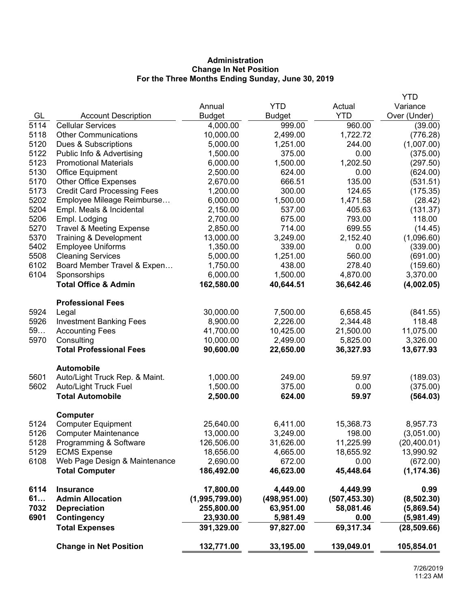# **Administration Change In Net Position For the Three Months Ending Sunday, June 30, 2019**

|      |                                     |                |               |               | <b>YTD</b>   |
|------|-------------------------------------|----------------|---------------|---------------|--------------|
|      |                                     | Annual         | <b>YTD</b>    | Actual        | Variance     |
| GL   | <b>Account Description</b>          | <b>Budget</b>  | <b>Budget</b> | <b>YTD</b>    | Over (Under) |
| 5114 | <b>Cellular Services</b>            | 4,000.00       | 999.00        | 960.00        | (39.00)      |
| 5118 | <b>Other Communications</b>         | 10,000.00      | 2,499.00      | 1,722.72      | (776.28)     |
| 5120 | Dues & Subscriptions                | 5,000.00       | 1,251.00      | 244.00        | (1,007.00)   |
| 5122 | Public Info & Advertising           | 1,500.00       | 375.00        | 0.00          | (375.00)     |
| 5123 | <b>Promotional Materials</b>        | 6,000.00       | 1,500.00      | 1,202.50      | (297.50)     |
| 5130 | Office Equipment                    | 2,500.00       | 624.00        | 0.00          | (624.00)     |
| 5170 | <b>Other Office Expenses</b>        | 2,670.00       | 666.51        | 135.00        | (531.51)     |
| 5173 | <b>Credit Card Processing Fees</b>  | 1,200.00       | 300.00        | 124.65        | (175.35)     |
| 5202 | Employee Mileage Reimburse          | 6,000.00       | 1,500.00      | 1,471.58      | (28.42)      |
| 5204 | Empl. Meals & Incidental            | 2,150.00       | 537.00        | 405.63        | (131.37)     |
| 5206 | Empl. Lodging                       | 2,700.00       | 675.00        | 793.00        | 118.00       |
| 5270 | <b>Travel &amp; Meeting Expense</b> | 2,850.00       | 714.00        | 699.55        | (14.45)      |
| 5370 | Training & Development              | 13,000.00      | 3,249.00      | 2,152.40      | (1,096.60)   |
| 5402 | <b>Employee Uniforms</b>            | 1,350.00       | 339.00        | 0.00          | (339.00)     |
| 5508 | <b>Cleaning Services</b>            | 5,000.00       | 1,251.00      | 560.00        | (691.00)     |
| 6102 | Board Member Travel & Expen         | 1,750.00       | 438.00        | 278.40        | (159.60)     |
| 6104 | Sponsorships                        | 6,000.00       | 1,500.00      | 4,870.00      | 3,370.00     |
|      | <b>Total Office &amp; Admin</b>     | 162,580.00     | 40,644.51     | 36,642.46     | (4,002.05)   |
|      | <b>Professional Fees</b>            |                |               |               |              |
| 5924 | Legal                               | 30,000.00      | 7,500.00      | 6,658.45      | (841.55)     |
| 5926 | <b>Investment Banking Fees</b>      | 8,900.00       | 2,226.00      | 2,344.48      | 118.48       |
| 59   | <b>Accounting Fees</b>              | 41,700.00      | 10,425.00     | 21,500.00     | 11,075.00    |
| 5970 | Consulting                          | 10,000.00      | 2,499.00      | 5,825.00      | 3,326.00     |
|      | <b>Total Professional Fees</b>      | 90,600.00      | 22,650.00     | 36,327.93     | 13,677.93    |
|      | <b>Automobile</b>                   |                |               |               |              |
| 5601 | Auto/Light Truck Rep. & Maint.      | 1,000.00       | 249.00        | 59.97         | (189.03)     |
| 5602 | Auto/Light Truck Fuel               | 1,500.00       | 375.00        | 0.00          | (375.00)     |
|      | <b>Total Automobile</b>             | 2,500.00       | 624.00        | 59.97         | (564.03)     |
|      | <b>Computer</b>                     |                |               |               |              |
| 5124 | <b>Computer Equipment</b>           | 25,640.00      | 6,411.00      | 15,368.73     | 8,957.73     |
| 5126 | <b>Computer Maintenance</b>         | 13,000.00      | 3,249.00      | 198.00        | (3,051.00)   |
| 5128 | Programming & Software              | 126,506.00     | 31,626.00     | 11,225.99     | (20, 400.01) |
| 5129 | <b>ECMS Expense</b>                 | 18,656.00      | 4,665.00      | 18,655.92     | 13,990.92    |
| 6108 | Web Page Design & Maintenance       | 2,690.00       | 672.00        | 0.00          | (672.00)     |
|      | <b>Total Computer</b>               | 186,492.00     | 46,623.00     | 45,448.64     | (1, 174.36)  |
| 6114 | <b>Insurance</b>                    | 17,800.00      | 4,449.00      | 4,449.99      | 0.99         |
| 61   | <b>Admin Allocation</b>             | (1,995,799.00) | (498, 951.00) | (507, 453.30) | (8,502.30)   |
| 7032 | <b>Depreciation</b>                 | 255,800.00     | 63,951.00     | 58,081.46     | (5,869.54)   |
| 6901 | Contingency                         | 23,930.00      | 5,981.49      | 0.00          | (5,981.49)   |
|      | <b>Total Expenses</b>               | 391,329.00     | 97,827.00     | 69,317.34     | (28, 509.66) |
|      | <b>Change in Net Position</b>       | 132,771.00     | 33,195.00     | 139,049.01    | 105,854.01   |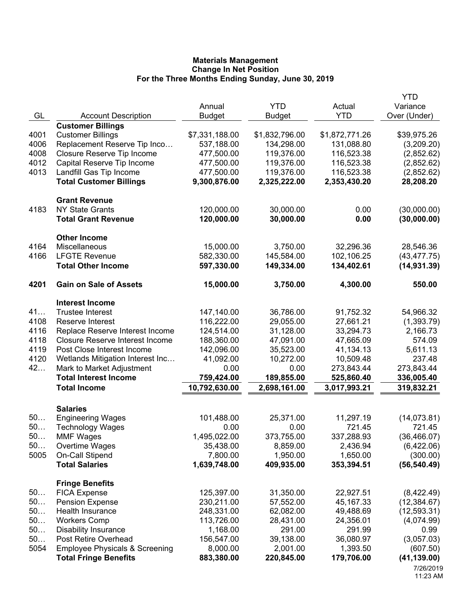|      |                                           |                |                |                | <b>YTD</b>   |
|------|-------------------------------------------|----------------|----------------|----------------|--------------|
|      |                                           | Annual         | <b>YTD</b>     | Actual         | Variance     |
| GL   | <b>Account Description</b>                | <b>Budget</b>  | <b>Budget</b>  | <b>YTD</b>     | Over (Under) |
|      | <b>Customer Billings</b>                  |                |                |                |              |
| 4001 | <b>Customer Billings</b>                  | \$7,331,188.00 | \$1,832,796.00 | \$1,872,771.26 | \$39,975.26  |
| 4006 | Replacement Reserve Tip Inco              | 537,188.00     | 134,298.00     | 131,088.80     | (3,209.20)   |
| 4008 | Closure Reserve Tip Income                | 477,500.00     | 119,376.00     | 116,523.38     | (2,852.62)   |
| 4012 | Capital Reserve Tip Income                | 477,500.00     | 119,376.00     | 116,523.38     | (2,852.62)   |
| 4013 | Landfill Gas Tip Income                   | 477,500.00     | 119,376.00     | 116,523.38     | (2,852.62)   |
|      | <b>Total Customer Billings</b>            | 9,300,876.00   | 2,325,222.00   | 2,353,430.20   | 28,208.20    |
|      | <b>Grant Revenue</b>                      |                |                |                |              |
| 4183 | <b>NY State Grants</b>                    | 120,000.00     | 30,000.00      | 0.00           | (30,000.00)  |
|      | <b>Total Grant Revenue</b>                | 120,000.00     | 30,000.00      | 0.00           | (30,000.00)  |
|      | <b>Other Income</b>                       |                |                |                |              |
| 4164 | Miscellaneous                             | 15,000.00      | 3,750.00       | 32,296.36      | 28,546.36    |
| 4166 | <b>LFGTE Revenue</b>                      | 582,330.00     | 145,584.00     | 102,106.25     | (43, 477.75) |
|      | <b>Total Other Income</b>                 | 597,330.00     | 149,334.00     | 134,402.61     | (14, 931.39) |
| 4201 | <b>Gain on Sale of Assets</b>             | 15,000.00      | 3,750.00       | 4,300.00       | 550.00       |
|      | <b>Interest Income</b>                    |                |                |                |              |
| 41   | <b>Trustee Interest</b>                   | 147,140.00     | 36,786.00      | 91,752.32      | 54,966.32    |
| 4108 | Reserve Interest                          | 116,222.00     | 29,055.00      | 27,661.21      | (1,393.79)   |
| 4116 | Replace Reserve Interest Income           | 124,514.00     | 31,128.00      | 33,294.73      | 2,166.73     |
| 4118 | Closure Reserve Interest Income           | 188,360.00     | 47,091.00      | 47,665.09      | 574.09       |
| 4119 | Post Close Interest Income                | 142,096.00     | 35,523.00      | 41,134.13      | 5,611.13     |
| 4120 | Wetlands Mitigation Interest Inc          | 41,092.00      | 10,272.00      | 10,509.48      | 237.48       |
| 42   | Mark to Market Adjustment                 | 0.00           | 0.00           | 273,843.44     | 273,843.44   |
|      | <b>Total Interest Income</b>              | 759,424.00     | 189,855.00     | 525,860.40     | 336,005.40   |
|      | <b>Total Income</b>                       | 10,792,630.00  | 2,698,161.00   | 3,017,993.21   | 319,832.21   |
|      | <b>Salaries</b>                           |                |                |                |              |
| 50   | <b>Engineering Wages</b>                  | 101,488.00     | 25,371.00      | 11,297.19      | (14,073.81)  |
| 50   | <b>Technology Wages</b>                   | 0.00           | 0.00           | 721.45         | 721.45       |
| 50.  | <b>MMF Wages</b>                          | 1,495,022.00   | 373,755.00     | 337,288.93     | (36, 466.07) |
| 50   | Overtime Wages                            | 35,438.00      | 8,859.00       | 2,436.94       | (6,422.06)   |
| 5005 | On-Call Stipend                           | 7,800.00       | 1,950.00       | 1,650.00       | (300.00)     |
|      | <b>Total Salaries</b>                     | 1,639,748.00   | 409,935.00     | 353,394.51     | (56, 540.49) |
|      | <b>Fringe Benefits</b>                    |                |                |                |              |
| 50   | <b>FICA Expense</b>                       | 125,397.00     | 31,350.00      | 22,927.51      | (8,422.49)   |
| 50   | <b>Pension Expense</b>                    | 230,211.00     | 57,552.00      | 45, 167. 33    | (12, 384.67) |
| 50   | Health Insurance                          | 248,331.00     | 62,082.00      | 49,488.69      | (12, 593.31) |
| 50   | <b>Workers Comp</b>                       | 113,726.00     | 28,431.00      | 24,356.01      | (4,074.99)   |
| 50   | <b>Disability Insurance</b>               | 1,168.00       | 291.00         | 291.99         | 0.99         |
| 50   | Post Retire Overhead                      | 156,547.00     | 39,138.00      | 36,080.97      | (3,057.03)   |
| 5054 | <b>Employee Physicals &amp; Screening</b> | 8,000.00       | 2,001.00       | 1,393.50       | (607.50)     |
|      | <b>Total Fringe Benefits</b>              | 883,380.00     | 220,845.00     | 179,706.00     | (41, 139.00) |
|      |                                           |                |                |                | 7/26/2019    |

<sup>11:23</sup> AM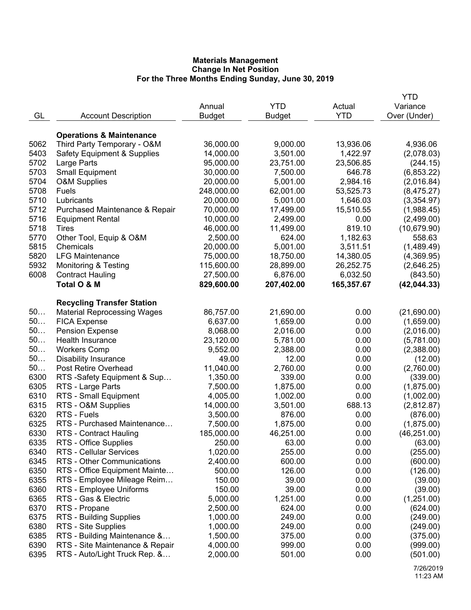|                               |                                                                                                                                                                                                                                                                                                                                                                                                                                                                                                                                                                                                                                                                                                                                                                                                                                                                                                                                                                                                                                                                                                     |                                                                                                                                                                                                                                                                                                                                                                                                                                                                           |                                                                                                                                                                                                                                                                                                                                                                                                                                         | YTD                                                                                                                                                                                                                                                                                                                                                                  |
|-------------------------------|-----------------------------------------------------------------------------------------------------------------------------------------------------------------------------------------------------------------------------------------------------------------------------------------------------------------------------------------------------------------------------------------------------------------------------------------------------------------------------------------------------------------------------------------------------------------------------------------------------------------------------------------------------------------------------------------------------------------------------------------------------------------------------------------------------------------------------------------------------------------------------------------------------------------------------------------------------------------------------------------------------------------------------------------------------------------------------------------------------|---------------------------------------------------------------------------------------------------------------------------------------------------------------------------------------------------------------------------------------------------------------------------------------------------------------------------------------------------------------------------------------------------------------------------------------------------------------------------|-----------------------------------------------------------------------------------------------------------------------------------------------------------------------------------------------------------------------------------------------------------------------------------------------------------------------------------------------------------------------------------------------------------------------------------------|----------------------------------------------------------------------------------------------------------------------------------------------------------------------------------------------------------------------------------------------------------------------------------------------------------------------------------------------------------------------|
|                               | Annual                                                                                                                                                                                                                                                                                                                                                                                                                                                                                                                                                                                                                                                                                                                                                                                                                                                                                                                                                                                                                                                                                              | <b>YTD</b>                                                                                                                                                                                                                                                                                                                                                                                                                                                                | Actual                                                                                                                                                                                                                                                                                                                                                                                                                                  | Variance                                                                                                                                                                                                                                                                                                                                                             |
|                               |                                                                                                                                                                                                                                                                                                                                                                                                                                                                                                                                                                                                                                                                                                                                                                                                                                                                                                                                                                                                                                                                                                     |                                                                                                                                                                                                                                                                                                                                                                                                                                                                           | <b>YTD</b>                                                                                                                                                                                                                                                                                                                                                                                                                              | Over (Under)                                                                                                                                                                                                                                                                                                                                                         |
|                               |                                                                                                                                                                                                                                                                                                                                                                                                                                                                                                                                                                                                                                                                                                                                                                                                                                                                                                                                                                                                                                                                                                     |                                                                                                                                                                                                                                                                                                                                                                                                                                                                           |                                                                                                                                                                                                                                                                                                                                                                                                                                         |                                                                                                                                                                                                                                                                                                                                                                      |
|                               |                                                                                                                                                                                                                                                                                                                                                                                                                                                                                                                                                                                                                                                                                                                                                                                                                                                                                                                                                                                                                                                                                                     |                                                                                                                                                                                                                                                                                                                                                                                                                                                                           |                                                                                                                                                                                                                                                                                                                                                                                                                                         |                                                                                                                                                                                                                                                                                                                                                                      |
|                               |                                                                                                                                                                                                                                                                                                                                                                                                                                                                                                                                                                                                                                                                                                                                                                                                                                                                                                                                                                                                                                                                                                     |                                                                                                                                                                                                                                                                                                                                                                                                                                                                           |                                                                                                                                                                                                                                                                                                                                                                                                                                         | 4,936.06                                                                                                                                                                                                                                                                                                                                                             |
|                               |                                                                                                                                                                                                                                                                                                                                                                                                                                                                                                                                                                                                                                                                                                                                                                                                                                                                                                                                                                                                                                                                                                     |                                                                                                                                                                                                                                                                                                                                                                                                                                                                           |                                                                                                                                                                                                                                                                                                                                                                                                                                         | (2,078.03)                                                                                                                                                                                                                                                                                                                                                           |
|                               |                                                                                                                                                                                                                                                                                                                                                                                                                                                                                                                                                                                                                                                                                                                                                                                                                                                                                                                                                                                                                                                                                                     |                                                                                                                                                                                                                                                                                                                                                                                                                                                                           |                                                                                                                                                                                                                                                                                                                                                                                                                                         | (244.15)                                                                                                                                                                                                                                                                                                                                                             |
|                               |                                                                                                                                                                                                                                                                                                                                                                                                                                                                                                                                                                                                                                                                                                                                                                                                                                                                                                                                                                                                                                                                                                     |                                                                                                                                                                                                                                                                                                                                                                                                                                                                           |                                                                                                                                                                                                                                                                                                                                                                                                                                         | (6,853.22)                                                                                                                                                                                                                                                                                                                                                           |
|                               |                                                                                                                                                                                                                                                                                                                                                                                                                                                                                                                                                                                                                                                                                                                                                                                                                                                                                                                                                                                                                                                                                                     |                                                                                                                                                                                                                                                                                                                                                                                                                                                                           |                                                                                                                                                                                                                                                                                                                                                                                                                                         | (2,016.84)                                                                                                                                                                                                                                                                                                                                                           |
|                               |                                                                                                                                                                                                                                                                                                                                                                                                                                                                                                                                                                                                                                                                                                                                                                                                                                                                                                                                                                                                                                                                                                     |                                                                                                                                                                                                                                                                                                                                                                                                                                                                           |                                                                                                                                                                                                                                                                                                                                                                                                                                         | (8,475.27)                                                                                                                                                                                                                                                                                                                                                           |
|                               |                                                                                                                                                                                                                                                                                                                                                                                                                                                                                                                                                                                                                                                                                                                                                                                                                                                                                                                                                                                                                                                                                                     |                                                                                                                                                                                                                                                                                                                                                                                                                                                                           |                                                                                                                                                                                                                                                                                                                                                                                                                                         | (3,354.97)                                                                                                                                                                                                                                                                                                                                                           |
|                               |                                                                                                                                                                                                                                                                                                                                                                                                                                                                                                                                                                                                                                                                                                                                                                                                                                                                                                                                                                                                                                                                                                     |                                                                                                                                                                                                                                                                                                                                                                                                                                                                           |                                                                                                                                                                                                                                                                                                                                                                                                                                         | (1,988.45)                                                                                                                                                                                                                                                                                                                                                           |
|                               |                                                                                                                                                                                                                                                                                                                                                                                                                                                                                                                                                                                                                                                                                                                                                                                                                                                                                                                                                                                                                                                                                                     |                                                                                                                                                                                                                                                                                                                                                                                                                                                                           |                                                                                                                                                                                                                                                                                                                                                                                                                                         | (2,499.00)                                                                                                                                                                                                                                                                                                                                                           |
|                               |                                                                                                                                                                                                                                                                                                                                                                                                                                                                                                                                                                                                                                                                                                                                                                                                                                                                                                                                                                                                                                                                                                     |                                                                                                                                                                                                                                                                                                                                                                                                                                                                           |                                                                                                                                                                                                                                                                                                                                                                                                                                         |                                                                                                                                                                                                                                                                                                                                                                      |
|                               |                                                                                                                                                                                                                                                                                                                                                                                                                                                                                                                                                                                                                                                                                                                                                                                                                                                                                                                                                                                                                                                                                                     |                                                                                                                                                                                                                                                                                                                                                                                                                                                                           |                                                                                                                                                                                                                                                                                                                                                                                                                                         | (10,679.90)                                                                                                                                                                                                                                                                                                                                                          |
|                               |                                                                                                                                                                                                                                                                                                                                                                                                                                                                                                                                                                                                                                                                                                                                                                                                                                                                                                                                                                                                                                                                                                     |                                                                                                                                                                                                                                                                                                                                                                                                                                                                           |                                                                                                                                                                                                                                                                                                                                                                                                                                         | 558.63                                                                                                                                                                                                                                                                                                                                                               |
|                               |                                                                                                                                                                                                                                                                                                                                                                                                                                                                                                                                                                                                                                                                                                                                                                                                                                                                                                                                                                                                                                                                                                     |                                                                                                                                                                                                                                                                                                                                                                                                                                                                           |                                                                                                                                                                                                                                                                                                                                                                                                                                         | (1,489.49)                                                                                                                                                                                                                                                                                                                                                           |
|                               |                                                                                                                                                                                                                                                                                                                                                                                                                                                                                                                                                                                                                                                                                                                                                                                                                                                                                                                                                                                                                                                                                                     |                                                                                                                                                                                                                                                                                                                                                                                                                                                                           |                                                                                                                                                                                                                                                                                                                                                                                                                                         | (4,369.95)                                                                                                                                                                                                                                                                                                                                                           |
|                               |                                                                                                                                                                                                                                                                                                                                                                                                                                                                                                                                                                                                                                                                                                                                                                                                                                                                                                                                                                                                                                                                                                     |                                                                                                                                                                                                                                                                                                                                                                                                                                                                           |                                                                                                                                                                                                                                                                                                                                                                                                                                         | (2,646.25)                                                                                                                                                                                                                                                                                                                                                           |
|                               |                                                                                                                                                                                                                                                                                                                                                                                                                                                                                                                                                                                                                                                                                                                                                                                                                                                                                                                                                                                                                                                                                                     |                                                                                                                                                                                                                                                                                                                                                                                                                                                                           |                                                                                                                                                                                                                                                                                                                                                                                                                                         | (843.50)                                                                                                                                                                                                                                                                                                                                                             |
|                               |                                                                                                                                                                                                                                                                                                                                                                                                                                                                                                                                                                                                                                                                                                                                                                                                                                                                                                                                                                                                                                                                                                     |                                                                                                                                                                                                                                                                                                                                                                                                                                                                           |                                                                                                                                                                                                                                                                                                                                                                                                                                         | (42, 044.33)                                                                                                                                                                                                                                                                                                                                                         |
|                               |                                                                                                                                                                                                                                                                                                                                                                                                                                                                                                                                                                                                                                                                                                                                                                                                                                                                                                                                                                                                                                                                                                     |                                                                                                                                                                                                                                                                                                                                                                                                                                                                           |                                                                                                                                                                                                                                                                                                                                                                                                                                         |                                                                                                                                                                                                                                                                                                                                                                      |
|                               |                                                                                                                                                                                                                                                                                                                                                                                                                                                                                                                                                                                                                                                                                                                                                                                                                                                                                                                                                                                                                                                                                                     |                                                                                                                                                                                                                                                                                                                                                                                                                                                                           |                                                                                                                                                                                                                                                                                                                                                                                                                                         |                                                                                                                                                                                                                                                                                                                                                                      |
|                               |                                                                                                                                                                                                                                                                                                                                                                                                                                                                                                                                                                                                                                                                                                                                                                                                                                                                                                                                                                                                                                                                                                     |                                                                                                                                                                                                                                                                                                                                                                                                                                                                           |                                                                                                                                                                                                                                                                                                                                                                                                                                         | (21,690.00)                                                                                                                                                                                                                                                                                                                                                          |
|                               |                                                                                                                                                                                                                                                                                                                                                                                                                                                                                                                                                                                                                                                                                                                                                                                                                                                                                                                                                                                                                                                                                                     |                                                                                                                                                                                                                                                                                                                                                                                                                                                                           |                                                                                                                                                                                                                                                                                                                                                                                                                                         | (1,659.00)                                                                                                                                                                                                                                                                                                                                                           |
|                               |                                                                                                                                                                                                                                                                                                                                                                                                                                                                                                                                                                                                                                                                                                                                                                                                                                                                                                                                                                                                                                                                                                     |                                                                                                                                                                                                                                                                                                                                                                                                                                                                           |                                                                                                                                                                                                                                                                                                                                                                                                                                         | (2,016.00)                                                                                                                                                                                                                                                                                                                                                           |
|                               |                                                                                                                                                                                                                                                                                                                                                                                                                                                                                                                                                                                                                                                                                                                                                                                                                                                                                                                                                                                                                                                                                                     |                                                                                                                                                                                                                                                                                                                                                                                                                                                                           |                                                                                                                                                                                                                                                                                                                                                                                                                                         | (5,781.00)                                                                                                                                                                                                                                                                                                                                                           |
|                               |                                                                                                                                                                                                                                                                                                                                                                                                                                                                                                                                                                                                                                                                                                                                                                                                                                                                                                                                                                                                                                                                                                     |                                                                                                                                                                                                                                                                                                                                                                                                                                                                           |                                                                                                                                                                                                                                                                                                                                                                                                                                         | (2,388.00)                                                                                                                                                                                                                                                                                                                                                           |
|                               |                                                                                                                                                                                                                                                                                                                                                                                                                                                                                                                                                                                                                                                                                                                                                                                                                                                                                                                                                                                                                                                                                                     |                                                                                                                                                                                                                                                                                                                                                                                                                                                                           |                                                                                                                                                                                                                                                                                                                                                                                                                                         | (12.00)                                                                                                                                                                                                                                                                                                                                                              |
|                               |                                                                                                                                                                                                                                                                                                                                                                                                                                                                                                                                                                                                                                                                                                                                                                                                                                                                                                                                                                                                                                                                                                     |                                                                                                                                                                                                                                                                                                                                                                                                                                                                           |                                                                                                                                                                                                                                                                                                                                                                                                                                         | (2,760.00)                                                                                                                                                                                                                                                                                                                                                           |
|                               |                                                                                                                                                                                                                                                                                                                                                                                                                                                                                                                                                                                                                                                                                                                                                                                                                                                                                                                                                                                                                                                                                                     |                                                                                                                                                                                                                                                                                                                                                                                                                                                                           |                                                                                                                                                                                                                                                                                                                                                                                                                                         | (339.00)                                                                                                                                                                                                                                                                                                                                                             |
| RTS - Large Parts             | 7,500.00                                                                                                                                                                                                                                                                                                                                                                                                                                                                                                                                                                                                                                                                                                                                                                                                                                                                                                                                                                                                                                                                                            | 1,875.00                                                                                                                                                                                                                                                                                                                                                                                                                                                                  |                                                                                                                                                                                                                                                                                                                                                                                                                                         | (1,875.00)                                                                                                                                                                                                                                                                                                                                                           |
| RTS - Small Equipment         | 4,005.00                                                                                                                                                                                                                                                                                                                                                                                                                                                                                                                                                                                                                                                                                                                                                                                                                                                                                                                                                                                                                                                                                            | 1,002.00                                                                                                                                                                                                                                                                                                                                                                                                                                                                  | 0.00                                                                                                                                                                                                                                                                                                                                                                                                                                    | (1,002.00)                                                                                                                                                                                                                                                                                                                                                           |
| RTS - O&M Supplies            | 14,000.00                                                                                                                                                                                                                                                                                                                                                                                                                                                                                                                                                                                                                                                                                                                                                                                                                                                                                                                                                                                                                                                                                           | 3,501.00                                                                                                                                                                                                                                                                                                                                                                                                                                                                  | 688.13                                                                                                                                                                                                                                                                                                                                                                                                                                  | (2,812.87)                                                                                                                                                                                                                                                                                                                                                           |
| RTS - Fuels                   | 3,500.00                                                                                                                                                                                                                                                                                                                                                                                                                                                                                                                                                                                                                                                                                                                                                                                                                                                                                                                                                                                                                                                                                            | 876.00                                                                                                                                                                                                                                                                                                                                                                                                                                                                    | 0.00                                                                                                                                                                                                                                                                                                                                                                                                                                    | (876.00)                                                                                                                                                                                                                                                                                                                                                             |
| RTS - Purchased Maintenance   | 7,500.00                                                                                                                                                                                                                                                                                                                                                                                                                                                                                                                                                                                                                                                                                                                                                                                                                                                                                                                                                                                                                                                                                            | 1,875.00                                                                                                                                                                                                                                                                                                                                                                                                                                                                  | 0.00                                                                                                                                                                                                                                                                                                                                                                                                                                    | (1,875.00)                                                                                                                                                                                                                                                                                                                                                           |
| <b>RTS - Contract Hauling</b> | 185,000.00                                                                                                                                                                                                                                                                                                                                                                                                                                                                                                                                                                                                                                                                                                                                                                                                                                                                                                                                                                                                                                                                                          | 46,251.00                                                                                                                                                                                                                                                                                                                                                                                                                                                                 | 0.00                                                                                                                                                                                                                                                                                                                                                                                                                                    | (46, 251.00)                                                                                                                                                                                                                                                                                                                                                         |
|                               | 250.00                                                                                                                                                                                                                                                                                                                                                                                                                                                                                                                                                                                                                                                                                                                                                                                                                                                                                                                                                                                                                                                                                              | 63.00                                                                                                                                                                                                                                                                                                                                                                                                                                                                     | 0.00                                                                                                                                                                                                                                                                                                                                                                                                                                    | (63.00)                                                                                                                                                                                                                                                                                                                                                              |
|                               |                                                                                                                                                                                                                                                                                                                                                                                                                                                                                                                                                                                                                                                                                                                                                                                                                                                                                                                                                                                                                                                                                                     |                                                                                                                                                                                                                                                                                                                                                                                                                                                                           |                                                                                                                                                                                                                                                                                                                                                                                                                                         | (255.00)                                                                                                                                                                                                                                                                                                                                                             |
|                               |                                                                                                                                                                                                                                                                                                                                                                                                                                                                                                                                                                                                                                                                                                                                                                                                                                                                                                                                                                                                                                                                                                     |                                                                                                                                                                                                                                                                                                                                                                                                                                                                           |                                                                                                                                                                                                                                                                                                                                                                                                                                         | (600.00)                                                                                                                                                                                                                                                                                                                                                             |
|                               |                                                                                                                                                                                                                                                                                                                                                                                                                                                                                                                                                                                                                                                                                                                                                                                                                                                                                                                                                                                                                                                                                                     |                                                                                                                                                                                                                                                                                                                                                                                                                                                                           |                                                                                                                                                                                                                                                                                                                                                                                                                                         | (126.00)                                                                                                                                                                                                                                                                                                                                                             |
|                               |                                                                                                                                                                                                                                                                                                                                                                                                                                                                                                                                                                                                                                                                                                                                                                                                                                                                                                                                                                                                                                                                                                     |                                                                                                                                                                                                                                                                                                                                                                                                                                                                           |                                                                                                                                                                                                                                                                                                                                                                                                                                         | (39.00)                                                                                                                                                                                                                                                                                                                                                              |
|                               |                                                                                                                                                                                                                                                                                                                                                                                                                                                                                                                                                                                                                                                                                                                                                                                                                                                                                                                                                                                                                                                                                                     |                                                                                                                                                                                                                                                                                                                                                                                                                                                                           |                                                                                                                                                                                                                                                                                                                                                                                                                                         | (39.00)                                                                                                                                                                                                                                                                                                                                                              |
|                               |                                                                                                                                                                                                                                                                                                                                                                                                                                                                                                                                                                                                                                                                                                                                                                                                                                                                                                                                                                                                                                                                                                     |                                                                                                                                                                                                                                                                                                                                                                                                                                                                           |                                                                                                                                                                                                                                                                                                                                                                                                                                         | (1,251.00)                                                                                                                                                                                                                                                                                                                                                           |
|                               |                                                                                                                                                                                                                                                                                                                                                                                                                                                                                                                                                                                                                                                                                                                                                                                                                                                                                                                                                                                                                                                                                                     |                                                                                                                                                                                                                                                                                                                                                                                                                                                                           |                                                                                                                                                                                                                                                                                                                                                                                                                                         | (624.00)                                                                                                                                                                                                                                                                                                                                                             |
|                               |                                                                                                                                                                                                                                                                                                                                                                                                                                                                                                                                                                                                                                                                                                                                                                                                                                                                                                                                                                                                                                                                                                     |                                                                                                                                                                                                                                                                                                                                                                                                                                                                           |                                                                                                                                                                                                                                                                                                                                                                                                                                         | (249.00)                                                                                                                                                                                                                                                                                                                                                             |
|                               |                                                                                                                                                                                                                                                                                                                                                                                                                                                                                                                                                                                                                                                                                                                                                                                                                                                                                                                                                                                                                                                                                                     |                                                                                                                                                                                                                                                                                                                                                                                                                                                                           |                                                                                                                                                                                                                                                                                                                                                                                                                                         | (249.00)                                                                                                                                                                                                                                                                                                                                                             |
|                               |                                                                                                                                                                                                                                                                                                                                                                                                                                                                                                                                                                                                                                                                                                                                                                                                                                                                                                                                                                                                                                                                                                     |                                                                                                                                                                                                                                                                                                                                                                                                                                                                           |                                                                                                                                                                                                                                                                                                                                                                                                                                         | (375.00)                                                                                                                                                                                                                                                                                                                                                             |
|                               |                                                                                                                                                                                                                                                                                                                                                                                                                                                                                                                                                                                                                                                                                                                                                                                                                                                                                                                                                                                                                                                                                                     |                                                                                                                                                                                                                                                                                                                                                                                                                                                                           |                                                                                                                                                                                                                                                                                                                                                                                                                                         |                                                                                                                                                                                                                                                                                                                                                                      |
|                               |                                                                                                                                                                                                                                                                                                                                                                                                                                                                                                                                                                                                                                                                                                                                                                                                                                                                                                                                                                                                                                                                                                     |                                                                                                                                                                                                                                                                                                                                                                                                                                                                           |                                                                                                                                                                                                                                                                                                                                                                                                                                         | (999.00)                                                                                                                                                                                                                                                                                                                                                             |
|                               |                                                                                                                                                                                                                                                                                                                                                                                                                                                                                                                                                                                                                                                                                                                                                                                                                                                                                                                                                                                                                                                                                                     |                                                                                                                                                                                                                                                                                                                                                                                                                                                                           |                                                                                                                                                                                                                                                                                                                                                                                                                                         | (501.00)                                                                                                                                                                                                                                                                                                                                                             |
|                               | <b>Account Description</b><br><b>Operations &amp; Maintenance</b><br>Third Party Temporary - O&M<br><b>Safety Equipment &amp; Supplies</b><br>Large Parts<br><b>Small Equipment</b><br><b>O&amp;M Supplies</b><br>Fuels<br>Lubricants<br>Purchased Maintenance & Repair<br><b>Equipment Rental</b><br>Tires<br>Other Tool, Equip & O&M<br>Chemicals<br><b>LFG Maintenance</b><br><b>Monitoring &amp; Testing</b><br><b>Contract Hauling</b><br>Total O & M<br><b>Recycling Transfer Station</b><br><b>Material Reprocessing Wages</b><br><b>FICA Expense</b><br><b>Pension Expense</b><br>Health Insurance<br><b>Workers Comp</b><br><b>Disability Insurance</b><br>Post Retire Overhead<br>RTS -Safety Equipment & Sup<br>RTS - Office Supplies<br>RTS - Cellular Services<br>RTS - Other Communications<br>RTS - Office Equipment Mainte<br>RTS - Employee Mileage Reim<br>RTS - Employee Uniforms<br>RTS - Gas & Electric<br>RTS - Propane<br>RTS - Building Supplies<br>RTS - Site Supplies<br>RTS - Building Maintenance &<br>RTS - Site Maintenance & Repair<br>RTS - Auto/Light Truck Rep. & | <b>Budget</b><br>36,000.00<br>14,000.00<br>95,000.00<br>30,000.00<br>20,000.00<br>248,000.00<br>20,000.00<br>70,000.00<br>10,000.00<br>46,000.00<br>2,500.00<br>20,000.00<br>75,000.00<br>115,600.00<br>27,500.00<br>829,600.00<br>86,757.00<br>6,637.00<br>8,068.00<br>23,120.00<br>9,552.00<br>49.00<br>11,040.00<br>1,350.00<br>1,020.00<br>2,400.00<br>500.00<br>150.00<br>150.00<br>5,000.00<br>2,500.00<br>1,000.00<br>1,000.00<br>1,500.00<br>4,000.00<br>2,000.00 | <b>Budget</b><br>9,000.00<br>3,501.00<br>23,751.00<br>7,500.00<br>5,001.00<br>62,001.00<br>5,001.00<br>17,499.00<br>2,499.00<br>11,499.00<br>624.00<br>5,001.00<br>18,750.00<br>28,899.00<br>6,876.00<br>207,402.00<br>21,690.00<br>1,659.00<br>2,016.00<br>5,781.00<br>2,388.00<br>12.00<br>2,760.00<br>339.00<br>255.00<br>600.00<br>126.00<br>39.00<br>39.00<br>1,251.00<br>624.00<br>249.00<br>249.00<br>375.00<br>999.00<br>501.00 | 13,936.06<br>1,422.97<br>23,506.85<br>646.78<br>2,984.16<br>53,525.73<br>1,646.03<br>15,510.55<br>0.00<br>819.10<br>1,182.63<br>3,511.51<br>14,380.05<br>26,252.75<br>6,032.50<br>165,357.67<br>0.00<br>0.00<br>0.00<br>0.00<br>0.00<br>0.00<br>0.00<br>0.00<br>0.00<br>0.00<br>0.00<br>0.00<br>0.00<br>0.00<br>0.00<br>0.00<br>0.00<br>0.00<br>0.00<br>0.00<br>0.00 |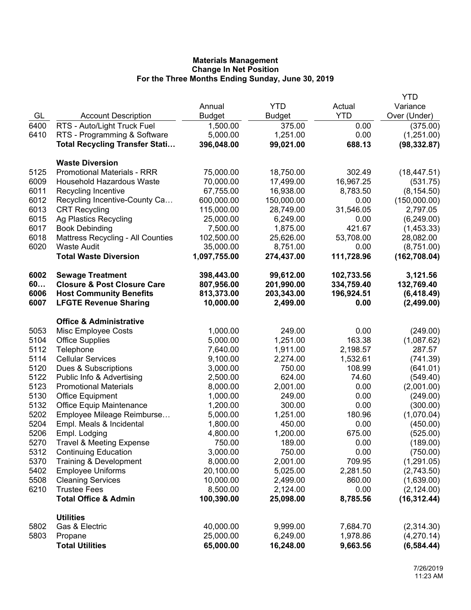|      |                                          |               |               |            | YTD           |
|------|------------------------------------------|---------------|---------------|------------|---------------|
|      |                                          | Annual        | <b>YTD</b>    | Actual     | Variance      |
| GL   | <b>Account Description</b>               | <b>Budget</b> | <b>Budget</b> | <b>YTD</b> | Over (Under)  |
| 6400 | RTS - Auto/Light Truck Fuel              | 1,500.00      | 375.00        | 0.00       | (375.00)      |
| 6410 | RTS - Programming & Software             | 5,000.00      | 1,251.00      | 0.00       | (1,251.00)    |
|      | <b>Total Recycling Transfer Stati</b>    | 396,048.00    | 99,021.00     | 688.13     | (98, 332.87)  |
|      |                                          |               |               |            |               |
|      | <b>Waste Diversion</b>                   |               |               |            |               |
| 5125 | <b>Promotional Materials - RRR</b>       | 75,000.00     | 18,750.00     | 302.49     | (18, 447.51)  |
| 6009 | Household Hazardous Waste                | 70,000.00     | 17,499.00     | 16,967.25  | (531.75)      |
| 6011 | Recycling Incentive                      | 67,755.00     | 16,938.00     | 8,783.50   | (8, 154.50)   |
| 6012 | Recycling Incentive-County Ca            | 600,000.00    | 150,000.00    | 0.00       | (150,000.00)  |
| 6013 | <b>CRT Recycling</b>                     | 115,000.00    | 28,749.00     | 31,546.05  | 2,797.05      |
| 6015 | Ag Plastics Recycling                    | 25,000.00     | 6,249.00      | 0.00       | (6,249.00)    |
| 6017 | <b>Book Debinding</b>                    | 7,500.00      | 1,875.00      | 421.67     | (1,453.33)    |
| 6018 | <b>Mattress Recycling - All Counties</b> | 102,500.00    | 25,626.00     | 53,708.00  | 28,082.00     |
| 6020 | <b>Waste Audit</b>                       | 35,000.00     | 8,751.00      | 0.00       | (8,751.00)    |
|      | <b>Total Waste Diversion</b>             | 1,097,755.00  | 274,437.00    | 111,728.96 | (162, 708.04) |
| 6002 | <b>Sewage Treatment</b>                  | 398,443.00    | 99,612.00     | 102,733.56 | 3,121.56      |
| 60   | <b>Closure &amp; Post Closure Care</b>   | 807,956.00    | 201,990.00    | 334,759.40 | 132,769.40    |
| 6006 | <b>Host Community Benefits</b>           | 813,373.00    | 203,343.00    | 196,924.51 | (6, 418.49)   |
| 6007 | <b>LFGTE Revenue Sharing</b>             | 10,000.00     | 2,499.00      | 0.00       | (2,499.00)    |
|      | <b>Office &amp; Administrative</b>       |               |               |            |               |
| 5053 | Misc Employee Costs                      | 1,000.00      | 249.00        | 0.00       | (249.00)      |
| 5104 | <b>Office Supplies</b>                   | 5,000.00      | 1,251.00      | 163.38     | (1,087.62)    |
| 5112 | Telephone                                | 7,640.00      | 1,911.00      | 2,198.57   | 287.57        |
| 5114 | <b>Cellular Services</b>                 | 9,100.00      | 2,274.00      | 1,532.61   | (741.39)      |
| 5120 | Dues & Subscriptions                     | 3,000.00      | 750.00        | 108.99     | (641.01)      |
| 5122 | Public Info & Advertising                | 2,500.00      | 624.00        | 74.60      | (549.40)      |
| 5123 | <b>Promotional Materials</b>             | 8,000.00      | 2,001.00      | 0.00       | (2,001.00)    |
| 5130 | Office Equipment                         | 1,000.00      | 249.00        | 0.00       | (249.00)      |
| 5132 | <b>Office Equip Maintenance</b>          | 1,200.00      | 300.00        | 0.00       | (300.00)      |
| 5202 | Employee Mileage Reimburse               | 5,000.00      | 1,251.00      | 180.96     | (1,070.04)    |
| 5204 | Empl. Meals & Incidental                 | 1,800.00      | 450.00        | 0.00       | (450.00)      |
| 5206 | Empl. Lodging                            | 4,800.00      | 1,200.00      | 675.00     | (525.00)      |
| 5270 | <b>Travel &amp; Meeting Expense</b>      | 750.00        | 189.00        | 0.00       | (189.00)      |
| 5312 | <b>Continuing Education</b>              | 3,000.00      | 750.00        | 0.00       | (750.00)      |
| 5370 | Training & Development                   | 8,000.00      | 2,001.00      | 709.95     | (1,291.05)    |
| 5402 | <b>Employee Uniforms</b>                 | 20,100.00     | 5,025.00      | 2,281.50   | (2,743.50)    |
| 5508 | <b>Cleaning Services</b>                 | 10,000.00     | 2,499.00      | 860.00     | (1,639.00)    |
| 6210 | <b>Trustee Fees</b>                      | 8,500.00      | 2,124.00      | 0.00       | (2, 124.00)   |
|      | <b>Total Office &amp; Admin</b>          | 100,390.00    | 25,098.00     | 8,785.56   | (16, 312.44)  |
|      |                                          |               |               |            |               |
| 5802 | <b>Utilities</b><br>Gas & Electric       | 40,000.00     | 9,999.00      | 7,684.70   | (2,314.30)    |
| 5803 | Propane                                  | 25,000.00     | 6,249.00      | 1,978.86   | (4,270.14)    |
|      | <b>Total Utilities</b>                   | 65,000.00     | 16,248.00     | 9,663.56   | (6, 584.44)   |
|      |                                          |               |               |            |               |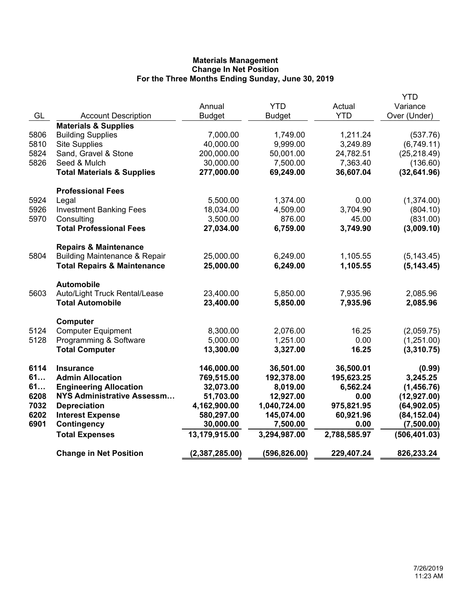|      |                                          |                |               |              | <b>YTD</b>    |
|------|------------------------------------------|----------------|---------------|--------------|---------------|
|      |                                          | Annual         | <b>YTD</b>    | Actual       | Variance      |
| GL   | <b>Account Description</b>               | Budget         | <b>Budget</b> | <b>YTD</b>   | Over (Under)  |
|      | <b>Materials &amp; Supplies</b>          |                |               |              |               |
| 5806 | <b>Building Supplies</b>                 | 7,000.00       | 1,749.00      | 1,211.24     | (537.76)      |
| 5810 | <b>Site Supplies</b>                     | 40,000.00      | 9,999.00      | 3,249.89     | (6,749.11)    |
| 5824 | Sand, Gravel & Stone                     | 200,000.00     | 50,001.00     | 24,782.51    | (25, 218.49)  |
| 5826 | Seed & Mulch                             | 30,000.00      | 7,500.00      | 7,363.40     | (136.60)      |
|      | <b>Total Materials &amp; Supplies</b>    | 277,000.00     | 69,249.00     | 36,607.04    | (32, 641.96)  |
|      | <b>Professional Fees</b>                 |                |               |              |               |
| 5924 | Legal                                    | 5,500.00       | 1,374.00      | 0.00         | (1,374.00)    |
| 5926 | <b>Investment Banking Fees</b>           | 18,034.00      | 4,509.00      | 3,704.90     | (804.10)      |
| 5970 | Consulting                               | 3,500.00       | 876.00        | 45.00        | (831.00)      |
|      | <b>Total Professional Fees</b>           | 27,034.00      | 6,759.00      | 3,749.90     | (3,009.10)    |
|      |                                          |                |               |              |               |
|      | <b>Repairs &amp; Maintenance</b>         |                |               |              |               |
| 5804 | <b>Building Maintenance &amp; Repair</b> | 25,000.00      | 6,249.00      | 1,105.55     | (5, 143.45)   |
|      | <b>Total Repairs &amp; Maintenance</b>   | 25,000.00      | 6,249.00      | 1,105.55     | (5, 143.45)   |
|      | <b>Automobile</b>                        |                |               |              |               |
| 5603 | Auto/Light Truck Rental/Lease            | 23,400.00      | 5,850.00      | 7,935.96     | 2,085.96      |
|      | <b>Total Automobile</b>                  | 23,400.00      | 5,850.00      | 7,935.96     | 2,085.96      |
|      |                                          |                |               |              |               |
|      | Computer                                 |                |               |              |               |
| 5124 | <b>Computer Equipment</b>                | 8,300.00       | 2,076.00      | 16.25        | (2,059.75)    |
| 5128 | Programming & Software                   | 5,000.00       | 1,251.00      | 0.00         | (1,251.00)    |
|      | <b>Total Computer</b>                    | 13,300.00      | 3,327.00      | 16.25        | (3,310.75)    |
| 6114 | <b>Insurance</b>                         | 146,000.00     | 36,501.00     | 36,500.01    | (0.99)        |
| 61   | <b>Admin Allocation</b>                  | 769,515.00     | 192,378.00    | 195,623.25   | 3,245.25      |
| 61   | <b>Engineering Allocation</b>            | 32,073.00      | 8,019.00      | 6,562.24     | (1,456.76)    |
| 6208 | <b>NYS Administrative Assessm</b>        | 51,703.00      | 12,927.00     | 0.00         | (12, 927.00)  |
| 7032 | <b>Depreciation</b>                      | 4,162,900.00   | 1,040,724.00  | 975,821.95   | (64, 902.05)  |
| 6202 | <b>Interest Expense</b>                  | 580,297.00     | 145,074.00    | 60,921.96    | (84, 152.04)  |
| 6901 | Contingency                              | 30,000.00      | 7,500.00      | 0.00         | (7,500.00)    |
|      | <b>Total Expenses</b>                    | 13,179,915.00  | 3,294,987.00  | 2,788,585.97 | (506, 401.03) |
|      | <b>Change in Net Position</b>            | (2,387,285.00) | (596,826.00)  | 229,407.24   | 826,233.24    |
|      |                                          |                |               |              |               |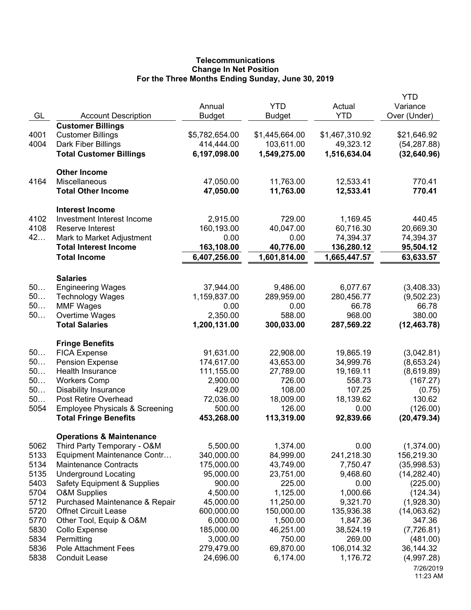# **Telecommunications Change In Net Position For the Three Months Ending Sunday, June 30, 2019**

| <b>Customer Billings</b><br>4001<br><b>Customer Billings</b><br>\$5,782,654.00<br>\$1,445,664.00<br>\$1,467,310.92<br>\$21,646.92<br>414,444.00<br>4004<br>103,611.00<br>49,323.12<br>(54, 287.88)<br>Dark Fiber Billings<br>6,197,098.00<br>1,549,275.00<br>1,516,634.04<br><b>Total Customer Billings</b><br>(32,640.96)<br><b>Other Income</b><br>11,763.00<br>4164<br>Miscellaneous<br>47,050.00<br>12,533.41<br>770.41<br>47,050.00<br>11,763.00<br><b>Total Other Income</b><br>12,533.41<br>770.41<br><b>Interest Income</b><br>4102<br>Investment Interest Income<br>2,915.00<br>729.00<br>1,169.45<br>440.45<br>4108<br>160,193.00<br>60,716.30<br>20,669.30<br>Reserve Interest<br>40,047.00<br>42<br>0.00<br>0.00<br>74,394.37<br>74,394.37<br>Mark to Market Adjustment<br><b>Total Interest Income</b><br>163,108.00<br>40,776.00<br>136,280.12<br>95,504.12<br><b>Total Income</b><br>6,407,256.00<br>1,601,814.00<br>1,665,447.57<br>63,633.57<br><b>Salaries</b><br>50<br><b>Engineering Wages</b><br>37,944.00<br>9,486.00<br>6,077.67<br>(3,408.33)<br>50<br>1,159,837.00<br>289,959.00<br>280,456.77<br><b>Technology Wages</b><br>(9,502.23)<br>50<br>0.00<br>0.00<br>66.78<br>66.78<br><b>MMF Wages</b><br>2,350.00<br>588.00<br>968.00<br>50<br>Overtime Wages<br>380.00<br><b>Total Salaries</b><br>1,200,131.00<br>300,033.00<br>287,569.22<br>(12, 463.78)<br><b>Fringe Benefits</b><br>50<br><b>FICA Expense</b><br>91,631.00<br>22,908.00<br>19,865.19<br>(3,042.81)<br>50<br>34,999.76<br><b>Pension Expense</b><br>174,617.00<br>43,653.00<br>(8,653.24)<br>50<br>Health Insurance<br>111,155.00<br>27,789.00<br>19,169.11<br>(8,619.89)<br>50<br>726.00<br>558.73<br><b>Workers Comp</b><br>2,900.00<br>(167.27)<br>50<br>107.25<br><b>Disability Insurance</b><br>429.00<br>108.00<br>(0.75)<br>50<br>Post Retire Overhead<br>72,036.00<br>18,009.00<br>18,139.62<br>130.62<br>5054<br><b>Employee Physicals &amp; Screening</b><br>500.00<br>126.00<br>0.00<br>(126.00)<br><b>Total Fringe Benefits</b><br>453,268.00<br>113,319.00<br>92,839.66<br>(20, 479.34)<br><b>Operations &amp; Maintenance</b><br>(1,374.00)<br>5062<br>Third Party Temporary - O&M<br>5,500.00<br>1,374.00<br>0.00<br>5133<br>Equipment Maintenance Contr<br>340,000.00<br>84,999.00<br>241,218.30<br>156,219.30<br>5134<br><b>Maintenance Contracts</b><br>175,000.00<br>43,749.00<br>7,750.47<br>(35,998.53)<br>5135<br><b>Underground Locating</b><br>95,000.00<br>23,751.00<br>9,468.60<br>(14, 282.40)<br>5403<br>900.00<br>225.00<br><b>Safety Equipment &amp; Supplies</b><br>0.00<br>(225.00)<br>5704<br>4,500.00<br>1,125.00<br>1,000.66<br><b>O&amp;M Supplies</b><br>(124.34)<br>5712<br>45,000.00<br>11,250.00<br>9,321.70<br>(1,928.30)<br>Purchased Maintenance & Repair<br>5720<br><b>Offnet Circuit Lease</b><br>600,000.00<br>150,000.00<br>135,936.38<br>(14,063.62)<br>5770<br>Other Tool, Equip & O&M<br>6,000.00<br>1,500.00<br>1,847.36<br>347.36<br>5830<br>185,000.00<br>46,251.00<br>38,524.19<br>(7,726.81)<br>Collo Expense<br>5834<br>Permitting<br>3,000.00<br>269.00<br>750.00<br>(481.00)<br>5836<br>69,870.00<br>106,014.32<br><b>Pole Attachment Fees</b><br>279,479.00<br>36,144.32<br>5838<br><b>Conduit Lease</b><br>24,696.00<br>6,174.00<br>1,176.72<br>(4,997.28) | GL | <b>Account Description</b> | Annual<br><b>Budget</b> | <b>YTD</b><br><b>Budget</b> | Actual<br><b>YTD</b> | YTD<br>Variance<br>Over (Under) |
|--------------------------------------------------------------------------------------------------------------------------------------------------------------------------------------------------------------------------------------------------------------------------------------------------------------------------------------------------------------------------------------------------------------------------------------------------------------------------------------------------------------------------------------------------------------------------------------------------------------------------------------------------------------------------------------------------------------------------------------------------------------------------------------------------------------------------------------------------------------------------------------------------------------------------------------------------------------------------------------------------------------------------------------------------------------------------------------------------------------------------------------------------------------------------------------------------------------------------------------------------------------------------------------------------------------------------------------------------------------------------------------------------------------------------------------------------------------------------------------------------------------------------------------------------------------------------------------------------------------------------------------------------------------------------------------------------------------------------------------------------------------------------------------------------------------------------------------------------------------------------------------------------------------------------------------------------------------------------------------------------------------------------------------------------------------------------------------------------------------------------------------------------------------------------------------------------------------------------------------------------------------------------------------------------------------------------------------------------------------------------------------------------------------------------------------------------------------------------------------------------------------------------------------------------------------------------------------------------------------------------------------------------------------------------------------------------------------------------------------------------------------------------------------------------------------------------------------------------------------------------------------------------------------------------------------------------------------------------------------------------------------------------------------------------------------------------------------------------------------------------------------------------------------------------------------------------------------------------------------------------------------------------------------------------------------------|----|----------------------------|-------------------------|-----------------------------|----------------------|---------------------------------|
|                                                                                                                                                                                                                                                                                                                                                                                                                                                                                                                                                                                                                                                                                                                                                                                                                                                                                                                                                                                                                                                                                                                                                                                                                                                                                                                                                                                                                                                                                                                                                                                                                                                                                                                                                                                                                                                                                                                                                                                                                                                                                                                                                                                                                                                                                                                                                                                                                                                                                                                                                                                                                                                                                                                                                                                                                                                                                                                                                                                                                                                                                                                                                                                                                                                                                                                    |    |                            |                         |                             |                      |                                 |
|                                                                                                                                                                                                                                                                                                                                                                                                                                                                                                                                                                                                                                                                                                                                                                                                                                                                                                                                                                                                                                                                                                                                                                                                                                                                                                                                                                                                                                                                                                                                                                                                                                                                                                                                                                                                                                                                                                                                                                                                                                                                                                                                                                                                                                                                                                                                                                                                                                                                                                                                                                                                                                                                                                                                                                                                                                                                                                                                                                                                                                                                                                                                                                                                                                                                                                                    |    |                            |                         |                             |                      |                                 |
|                                                                                                                                                                                                                                                                                                                                                                                                                                                                                                                                                                                                                                                                                                                                                                                                                                                                                                                                                                                                                                                                                                                                                                                                                                                                                                                                                                                                                                                                                                                                                                                                                                                                                                                                                                                                                                                                                                                                                                                                                                                                                                                                                                                                                                                                                                                                                                                                                                                                                                                                                                                                                                                                                                                                                                                                                                                                                                                                                                                                                                                                                                                                                                                                                                                                                                                    |    |                            |                         |                             |                      |                                 |
|                                                                                                                                                                                                                                                                                                                                                                                                                                                                                                                                                                                                                                                                                                                                                                                                                                                                                                                                                                                                                                                                                                                                                                                                                                                                                                                                                                                                                                                                                                                                                                                                                                                                                                                                                                                                                                                                                                                                                                                                                                                                                                                                                                                                                                                                                                                                                                                                                                                                                                                                                                                                                                                                                                                                                                                                                                                                                                                                                                                                                                                                                                                                                                                                                                                                                                                    |    |                            |                         |                             |                      |                                 |
|                                                                                                                                                                                                                                                                                                                                                                                                                                                                                                                                                                                                                                                                                                                                                                                                                                                                                                                                                                                                                                                                                                                                                                                                                                                                                                                                                                                                                                                                                                                                                                                                                                                                                                                                                                                                                                                                                                                                                                                                                                                                                                                                                                                                                                                                                                                                                                                                                                                                                                                                                                                                                                                                                                                                                                                                                                                                                                                                                                                                                                                                                                                                                                                                                                                                                                                    |    |                            |                         |                             |                      |                                 |
|                                                                                                                                                                                                                                                                                                                                                                                                                                                                                                                                                                                                                                                                                                                                                                                                                                                                                                                                                                                                                                                                                                                                                                                                                                                                                                                                                                                                                                                                                                                                                                                                                                                                                                                                                                                                                                                                                                                                                                                                                                                                                                                                                                                                                                                                                                                                                                                                                                                                                                                                                                                                                                                                                                                                                                                                                                                                                                                                                                                                                                                                                                                                                                                                                                                                                                                    |    |                            |                         |                             |                      |                                 |
|                                                                                                                                                                                                                                                                                                                                                                                                                                                                                                                                                                                                                                                                                                                                                                                                                                                                                                                                                                                                                                                                                                                                                                                                                                                                                                                                                                                                                                                                                                                                                                                                                                                                                                                                                                                                                                                                                                                                                                                                                                                                                                                                                                                                                                                                                                                                                                                                                                                                                                                                                                                                                                                                                                                                                                                                                                                                                                                                                                                                                                                                                                                                                                                                                                                                                                                    |    |                            |                         |                             |                      |                                 |
|                                                                                                                                                                                                                                                                                                                                                                                                                                                                                                                                                                                                                                                                                                                                                                                                                                                                                                                                                                                                                                                                                                                                                                                                                                                                                                                                                                                                                                                                                                                                                                                                                                                                                                                                                                                                                                                                                                                                                                                                                                                                                                                                                                                                                                                                                                                                                                                                                                                                                                                                                                                                                                                                                                                                                                                                                                                                                                                                                                                                                                                                                                                                                                                                                                                                                                                    |    |                            |                         |                             |                      |                                 |
|                                                                                                                                                                                                                                                                                                                                                                                                                                                                                                                                                                                                                                                                                                                                                                                                                                                                                                                                                                                                                                                                                                                                                                                                                                                                                                                                                                                                                                                                                                                                                                                                                                                                                                                                                                                                                                                                                                                                                                                                                                                                                                                                                                                                                                                                                                                                                                                                                                                                                                                                                                                                                                                                                                                                                                                                                                                                                                                                                                                                                                                                                                                                                                                                                                                                                                                    |    |                            |                         |                             |                      |                                 |
|                                                                                                                                                                                                                                                                                                                                                                                                                                                                                                                                                                                                                                                                                                                                                                                                                                                                                                                                                                                                                                                                                                                                                                                                                                                                                                                                                                                                                                                                                                                                                                                                                                                                                                                                                                                                                                                                                                                                                                                                                                                                                                                                                                                                                                                                                                                                                                                                                                                                                                                                                                                                                                                                                                                                                                                                                                                                                                                                                                                                                                                                                                                                                                                                                                                                                                                    |    |                            |                         |                             |                      |                                 |
|                                                                                                                                                                                                                                                                                                                                                                                                                                                                                                                                                                                                                                                                                                                                                                                                                                                                                                                                                                                                                                                                                                                                                                                                                                                                                                                                                                                                                                                                                                                                                                                                                                                                                                                                                                                                                                                                                                                                                                                                                                                                                                                                                                                                                                                                                                                                                                                                                                                                                                                                                                                                                                                                                                                                                                                                                                                                                                                                                                                                                                                                                                                                                                                                                                                                                                                    |    |                            |                         |                             |                      |                                 |
|                                                                                                                                                                                                                                                                                                                                                                                                                                                                                                                                                                                                                                                                                                                                                                                                                                                                                                                                                                                                                                                                                                                                                                                                                                                                                                                                                                                                                                                                                                                                                                                                                                                                                                                                                                                                                                                                                                                                                                                                                                                                                                                                                                                                                                                                                                                                                                                                                                                                                                                                                                                                                                                                                                                                                                                                                                                                                                                                                                                                                                                                                                                                                                                                                                                                                                                    |    |                            |                         |                             |                      |                                 |
|                                                                                                                                                                                                                                                                                                                                                                                                                                                                                                                                                                                                                                                                                                                                                                                                                                                                                                                                                                                                                                                                                                                                                                                                                                                                                                                                                                                                                                                                                                                                                                                                                                                                                                                                                                                                                                                                                                                                                                                                                                                                                                                                                                                                                                                                                                                                                                                                                                                                                                                                                                                                                                                                                                                                                                                                                                                                                                                                                                                                                                                                                                                                                                                                                                                                                                                    |    |                            |                         |                             |                      |                                 |
|                                                                                                                                                                                                                                                                                                                                                                                                                                                                                                                                                                                                                                                                                                                                                                                                                                                                                                                                                                                                                                                                                                                                                                                                                                                                                                                                                                                                                                                                                                                                                                                                                                                                                                                                                                                                                                                                                                                                                                                                                                                                                                                                                                                                                                                                                                                                                                                                                                                                                                                                                                                                                                                                                                                                                                                                                                                                                                                                                                                                                                                                                                                                                                                                                                                                                                                    |    |                            |                         |                             |                      |                                 |
|                                                                                                                                                                                                                                                                                                                                                                                                                                                                                                                                                                                                                                                                                                                                                                                                                                                                                                                                                                                                                                                                                                                                                                                                                                                                                                                                                                                                                                                                                                                                                                                                                                                                                                                                                                                                                                                                                                                                                                                                                                                                                                                                                                                                                                                                                                                                                                                                                                                                                                                                                                                                                                                                                                                                                                                                                                                                                                                                                                                                                                                                                                                                                                                                                                                                                                                    |    |                            |                         |                             |                      |                                 |
|                                                                                                                                                                                                                                                                                                                                                                                                                                                                                                                                                                                                                                                                                                                                                                                                                                                                                                                                                                                                                                                                                                                                                                                                                                                                                                                                                                                                                                                                                                                                                                                                                                                                                                                                                                                                                                                                                                                                                                                                                                                                                                                                                                                                                                                                                                                                                                                                                                                                                                                                                                                                                                                                                                                                                                                                                                                                                                                                                                                                                                                                                                                                                                                                                                                                                                                    |    |                            |                         |                             |                      |                                 |
|                                                                                                                                                                                                                                                                                                                                                                                                                                                                                                                                                                                                                                                                                                                                                                                                                                                                                                                                                                                                                                                                                                                                                                                                                                                                                                                                                                                                                                                                                                                                                                                                                                                                                                                                                                                                                                                                                                                                                                                                                                                                                                                                                                                                                                                                                                                                                                                                                                                                                                                                                                                                                                                                                                                                                                                                                                                                                                                                                                                                                                                                                                                                                                                                                                                                                                                    |    |                            |                         |                             |                      |                                 |
|                                                                                                                                                                                                                                                                                                                                                                                                                                                                                                                                                                                                                                                                                                                                                                                                                                                                                                                                                                                                                                                                                                                                                                                                                                                                                                                                                                                                                                                                                                                                                                                                                                                                                                                                                                                                                                                                                                                                                                                                                                                                                                                                                                                                                                                                                                                                                                                                                                                                                                                                                                                                                                                                                                                                                                                                                                                                                                                                                                                                                                                                                                                                                                                                                                                                                                                    |    |                            |                         |                             |                      |                                 |
|                                                                                                                                                                                                                                                                                                                                                                                                                                                                                                                                                                                                                                                                                                                                                                                                                                                                                                                                                                                                                                                                                                                                                                                                                                                                                                                                                                                                                                                                                                                                                                                                                                                                                                                                                                                                                                                                                                                                                                                                                                                                                                                                                                                                                                                                                                                                                                                                                                                                                                                                                                                                                                                                                                                                                                                                                                                                                                                                                                                                                                                                                                                                                                                                                                                                                                                    |    |                            |                         |                             |                      |                                 |
|                                                                                                                                                                                                                                                                                                                                                                                                                                                                                                                                                                                                                                                                                                                                                                                                                                                                                                                                                                                                                                                                                                                                                                                                                                                                                                                                                                                                                                                                                                                                                                                                                                                                                                                                                                                                                                                                                                                                                                                                                                                                                                                                                                                                                                                                                                                                                                                                                                                                                                                                                                                                                                                                                                                                                                                                                                                                                                                                                                                                                                                                                                                                                                                                                                                                                                                    |    |                            |                         |                             |                      |                                 |
|                                                                                                                                                                                                                                                                                                                                                                                                                                                                                                                                                                                                                                                                                                                                                                                                                                                                                                                                                                                                                                                                                                                                                                                                                                                                                                                                                                                                                                                                                                                                                                                                                                                                                                                                                                                                                                                                                                                                                                                                                                                                                                                                                                                                                                                                                                                                                                                                                                                                                                                                                                                                                                                                                                                                                                                                                                                                                                                                                                                                                                                                                                                                                                                                                                                                                                                    |    |                            |                         |                             |                      |                                 |
|                                                                                                                                                                                                                                                                                                                                                                                                                                                                                                                                                                                                                                                                                                                                                                                                                                                                                                                                                                                                                                                                                                                                                                                                                                                                                                                                                                                                                                                                                                                                                                                                                                                                                                                                                                                                                                                                                                                                                                                                                                                                                                                                                                                                                                                                                                                                                                                                                                                                                                                                                                                                                                                                                                                                                                                                                                                                                                                                                                                                                                                                                                                                                                                                                                                                                                                    |    |                            |                         |                             |                      |                                 |
|                                                                                                                                                                                                                                                                                                                                                                                                                                                                                                                                                                                                                                                                                                                                                                                                                                                                                                                                                                                                                                                                                                                                                                                                                                                                                                                                                                                                                                                                                                                                                                                                                                                                                                                                                                                                                                                                                                                                                                                                                                                                                                                                                                                                                                                                                                                                                                                                                                                                                                                                                                                                                                                                                                                                                                                                                                                                                                                                                                                                                                                                                                                                                                                                                                                                                                                    |    |                            |                         |                             |                      |                                 |
|                                                                                                                                                                                                                                                                                                                                                                                                                                                                                                                                                                                                                                                                                                                                                                                                                                                                                                                                                                                                                                                                                                                                                                                                                                                                                                                                                                                                                                                                                                                                                                                                                                                                                                                                                                                                                                                                                                                                                                                                                                                                                                                                                                                                                                                                                                                                                                                                                                                                                                                                                                                                                                                                                                                                                                                                                                                                                                                                                                                                                                                                                                                                                                                                                                                                                                                    |    |                            |                         |                             |                      |                                 |
|                                                                                                                                                                                                                                                                                                                                                                                                                                                                                                                                                                                                                                                                                                                                                                                                                                                                                                                                                                                                                                                                                                                                                                                                                                                                                                                                                                                                                                                                                                                                                                                                                                                                                                                                                                                                                                                                                                                                                                                                                                                                                                                                                                                                                                                                                                                                                                                                                                                                                                                                                                                                                                                                                                                                                                                                                                                                                                                                                                                                                                                                                                                                                                                                                                                                                                                    |    |                            |                         |                             |                      |                                 |
|                                                                                                                                                                                                                                                                                                                                                                                                                                                                                                                                                                                                                                                                                                                                                                                                                                                                                                                                                                                                                                                                                                                                                                                                                                                                                                                                                                                                                                                                                                                                                                                                                                                                                                                                                                                                                                                                                                                                                                                                                                                                                                                                                                                                                                                                                                                                                                                                                                                                                                                                                                                                                                                                                                                                                                                                                                                                                                                                                                                                                                                                                                                                                                                                                                                                                                                    |    |                            |                         |                             |                      |                                 |
|                                                                                                                                                                                                                                                                                                                                                                                                                                                                                                                                                                                                                                                                                                                                                                                                                                                                                                                                                                                                                                                                                                                                                                                                                                                                                                                                                                                                                                                                                                                                                                                                                                                                                                                                                                                                                                                                                                                                                                                                                                                                                                                                                                                                                                                                                                                                                                                                                                                                                                                                                                                                                                                                                                                                                                                                                                                                                                                                                                                                                                                                                                                                                                                                                                                                                                                    |    |                            |                         |                             |                      |                                 |
|                                                                                                                                                                                                                                                                                                                                                                                                                                                                                                                                                                                                                                                                                                                                                                                                                                                                                                                                                                                                                                                                                                                                                                                                                                                                                                                                                                                                                                                                                                                                                                                                                                                                                                                                                                                                                                                                                                                                                                                                                                                                                                                                                                                                                                                                                                                                                                                                                                                                                                                                                                                                                                                                                                                                                                                                                                                                                                                                                                                                                                                                                                                                                                                                                                                                                                                    |    |                            |                         |                             |                      |                                 |
|                                                                                                                                                                                                                                                                                                                                                                                                                                                                                                                                                                                                                                                                                                                                                                                                                                                                                                                                                                                                                                                                                                                                                                                                                                                                                                                                                                                                                                                                                                                                                                                                                                                                                                                                                                                                                                                                                                                                                                                                                                                                                                                                                                                                                                                                                                                                                                                                                                                                                                                                                                                                                                                                                                                                                                                                                                                                                                                                                                                                                                                                                                                                                                                                                                                                                                                    |    |                            |                         |                             |                      |                                 |
|                                                                                                                                                                                                                                                                                                                                                                                                                                                                                                                                                                                                                                                                                                                                                                                                                                                                                                                                                                                                                                                                                                                                                                                                                                                                                                                                                                                                                                                                                                                                                                                                                                                                                                                                                                                                                                                                                                                                                                                                                                                                                                                                                                                                                                                                                                                                                                                                                                                                                                                                                                                                                                                                                                                                                                                                                                                                                                                                                                                                                                                                                                                                                                                                                                                                                                                    |    |                            |                         |                             |                      |                                 |
|                                                                                                                                                                                                                                                                                                                                                                                                                                                                                                                                                                                                                                                                                                                                                                                                                                                                                                                                                                                                                                                                                                                                                                                                                                                                                                                                                                                                                                                                                                                                                                                                                                                                                                                                                                                                                                                                                                                                                                                                                                                                                                                                                                                                                                                                                                                                                                                                                                                                                                                                                                                                                                                                                                                                                                                                                                                                                                                                                                                                                                                                                                                                                                                                                                                                                                                    |    |                            |                         |                             |                      |                                 |
|                                                                                                                                                                                                                                                                                                                                                                                                                                                                                                                                                                                                                                                                                                                                                                                                                                                                                                                                                                                                                                                                                                                                                                                                                                                                                                                                                                                                                                                                                                                                                                                                                                                                                                                                                                                                                                                                                                                                                                                                                                                                                                                                                                                                                                                                                                                                                                                                                                                                                                                                                                                                                                                                                                                                                                                                                                                                                                                                                                                                                                                                                                                                                                                                                                                                                                                    |    |                            |                         |                             |                      |                                 |
|                                                                                                                                                                                                                                                                                                                                                                                                                                                                                                                                                                                                                                                                                                                                                                                                                                                                                                                                                                                                                                                                                                                                                                                                                                                                                                                                                                                                                                                                                                                                                                                                                                                                                                                                                                                                                                                                                                                                                                                                                                                                                                                                                                                                                                                                                                                                                                                                                                                                                                                                                                                                                                                                                                                                                                                                                                                                                                                                                                                                                                                                                                                                                                                                                                                                                                                    |    |                            |                         |                             |                      |                                 |
|                                                                                                                                                                                                                                                                                                                                                                                                                                                                                                                                                                                                                                                                                                                                                                                                                                                                                                                                                                                                                                                                                                                                                                                                                                                                                                                                                                                                                                                                                                                                                                                                                                                                                                                                                                                                                                                                                                                                                                                                                                                                                                                                                                                                                                                                                                                                                                                                                                                                                                                                                                                                                                                                                                                                                                                                                                                                                                                                                                                                                                                                                                                                                                                                                                                                                                                    |    |                            |                         |                             |                      |                                 |
|                                                                                                                                                                                                                                                                                                                                                                                                                                                                                                                                                                                                                                                                                                                                                                                                                                                                                                                                                                                                                                                                                                                                                                                                                                                                                                                                                                                                                                                                                                                                                                                                                                                                                                                                                                                                                                                                                                                                                                                                                                                                                                                                                                                                                                                                                                                                                                                                                                                                                                                                                                                                                                                                                                                                                                                                                                                                                                                                                                                                                                                                                                                                                                                                                                                                                                                    |    |                            |                         |                             |                      |                                 |
|                                                                                                                                                                                                                                                                                                                                                                                                                                                                                                                                                                                                                                                                                                                                                                                                                                                                                                                                                                                                                                                                                                                                                                                                                                                                                                                                                                                                                                                                                                                                                                                                                                                                                                                                                                                                                                                                                                                                                                                                                                                                                                                                                                                                                                                                                                                                                                                                                                                                                                                                                                                                                                                                                                                                                                                                                                                                                                                                                                                                                                                                                                                                                                                                                                                                                                                    |    |                            |                         |                             |                      |                                 |
|                                                                                                                                                                                                                                                                                                                                                                                                                                                                                                                                                                                                                                                                                                                                                                                                                                                                                                                                                                                                                                                                                                                                                                                                                                                                                                                                                                                                                                                                                                                                                                                                                                                                                                                                                                                                                                                                                                                                                                                                                                                                                                                                                                                                                                                                                                                                                                                                                                                                                                                                                                                                                                                                                                                                                                                                                                                                                                                                                                                                                                                                                                                                                                                                                                                                                                                    |    |                            |                         |                             |                      |                                 |
|                                                                                                                                                                                                                                                                                                                                                                                                                                                                                                                                                                                                                                                                                                                                                                                                                                                                                                                                                                                                                                                                                                                                                                                                                                                                                                                                                                                                                                                                                                                                                                                                                                                                                                                                                                                                                                                                                                                                                                                                                                                                                                                                                                                                                                                                                                                                                                                                                                                                                                                                                                                                                                                                                                                                                                                                                                                                                                                                                                                                                                                                                                                                                                                                                                                                                                                    |    |                            |                         |                             |                      |                                 |
|                                                                                                                                                                                                                                                                                                                                                                                                                                                                                                                                                                                                                                                                                                                                                                                                                                                                                                                                                                                                                                                                                                                                                                                                                                                                                                                                                                                                                                                                                                                                                                                                                                                                                                                                                                                                                                                                                                                                                                                                                                                                                                                                                                                                                                                                                                                                                                                                                                                                                                                                                                                                                                                                                                                                                                                                                                                                                                                                                                                                                                                                                                                                                                                                                                                                                                                    |    |                            |                         |                             |                      |                                 |
|                                                                                                                                                                                                                                                                                                                                                                                                                                                                                                                                                                                                                                                                                                                                                                                                                                                                                                                                                                                                                                                                                                                                                                                                                                                                                                                                                                                                                                                                                                                                                                                                                                                                                                                                                                                                                                                                                                                                                                                                                                                                                                                                                                                                                                                                                                                                                                                                                                                                                                                                                                                                                                                                                                                                                                                                                                                                                                                                                                                                                                                                                                                                                                                                                                                                                                                    |    |                            |                         |                             |                      |                                 |
| 11:23 AM                                                                                                                                                                                                                                                                                                                                                                                                                                                                                                                                                                                                                                                                                                                                                                                                                                                                                                                                                                                                                                                                                                                                                                                                                                                                                                                                                                                                                                                                                                                                                                                                                                                                                                                                                                                                                                                                                                                                                                                                                                                                                                                                                                                                                                                                                                                                                                                                                                                                                                                                                                                                                                                                                                                                                                                                                                                                                                                                                                                                                                                                                                                                                                                                                                                                                                           |    |                            |                         |                             |                      | 7/26/2019                       |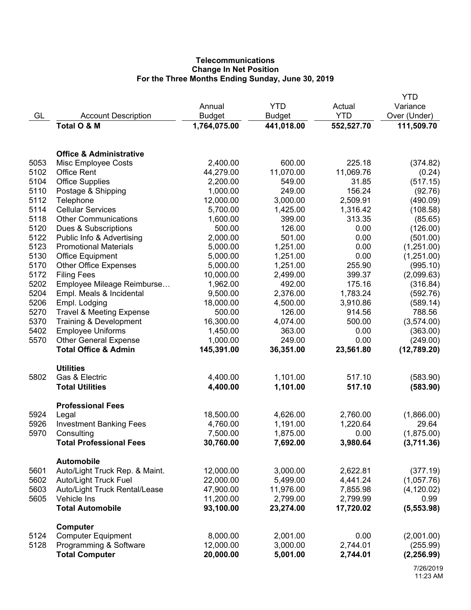# **Telecommunications Change In Net Position For the Three Months Ending Sunday, June 30, 2019**

|              |                                                           |                      |                    |              | <b>YTD</b>             |
|--------------|-----------------------------------------------------------|----------------------|--------------------|--------------|------------------------|
|              |                                                           | Annual               | <b>YTD</b>         | Actual       | Variance               |
| GL           | <b>Account Description</b>                                | Budget               | <b>Budget</b>      | <b>YTD</b>   | Over (Under)           |
|              | Total O & M                                               | 1,764,075.00         | 441,018.00         | 552,527.70   | 111,509.70             |
|              | <b>Office &amp; Administrative</b>                        |                      |                    |              |                        |
| 5053         | Misc Employee Costs                                       | 2,400.00             | 600.00             | 225.18       | (374.82)               |
| 5102         | <b>Office Rent</b>                                        | 44,279.00            | 11,070.00          | 11,069.76    | (0.24)                 |
| 5104         | <b>Office Supplies</b>                                    | 2,200.00             | 549.00             | 31.85        | (517.15)               |
| 5110         | Postage & Shipping                                        | 1,000.00             | 249.00             | 156.24       | (92.76)                |
| 5112         | Telephone                                                 | 12,000.00            | 3,000.00           | 2,509.91     | (490.09)               |
| 5114         | <b>Cellular Services</b>                                  | 5,700.00             | 1,425.00           | 1,316.42     | (108.58)               |
| 5118         | <b>Other Communications</b>                               | 1,600.00             | 399.00             | 313.35       | (85.65)                |
| 5120<br>5122 | Dues & Subscriptions                                      | 500.00               | 126.00             | 0.00<br>0.00 | (126.00)               |
| 5123         | Public Info & Advertising<br><b>Promotional Materials</b> | 2,000.00<br>5,000.00 | 501.00<br>1,251.00 | 0.00         | (501.00)               |
| 5130         |                                                           | 5,000.00             | 1,251.00           | 0.00         | (1,251.00)             |
| 5170         | <b>Office Equipment</b><br><b>Other Office Expenses</b>   | 5,000.00             | 1,251.00           | 255.90       | (1,251.00)<br>(995.10) |
| 5172         | <b>Filing Fees</b>                                        | 10,000.00            | 2,499.00           | 399.37       | (2,099.63)             |
| 5202         | Employee Mileage Reimburse                                | 1,962.00             | 492.00             | 175.16       | (316.84)               |
| 5204         | Empl. Meals & Incidental                                  | 9,500.00             | 2,376.00           | 1,783.24     | (592.76)               |
| 5206         | Empl. Lodging                                             | 18,000.00            | 4,500.00           | 3,910.86     | (589.14)               |
| 5270         | <b>Travel &amp; Meeting Expense</b>                       | 500.00               | 126.00             | 914.56       | 788.56                 |
| 5370         | Training & Development                                    | 16,300.00            | 4,074.00           | 500.00       | (3,574.00)             |
| 5402         | <b>Employee Uniforms</b>                                  | 1,450.00             | 363.00             | 0.00         | (363.00)               |
| 5570         | <b>Other General Expense</b>                              | 1,000.00             | 249.00             | 0.00         | (249.00)               |
|              | <b>Total Office &amp; Admin</b>                           | 145,391.00           | 36,351.00          | 23,561.80    | (12,789.20)            |
|              | <b>Utilities</b>                                          |                      |                    |              |                        |
| 5802         | Gas & Electric                                            | 4,400.00             | 1,101.00           | 517.10       | (583.90)               |
|              | <b>Total Utilities</b>                                    | 4,400.00             | 1,101.00           | 517.10       | (583.90)               |
| 5924         | <b>Professional Fees</b><br>Legal                         | 18,500.00            | 4,626.00           | 2,760.00     | (1,866.00)             |
| 5926         | <b>Investment Banking Fees</b>                            | 4,760.00             | 1,191.00           | 1,220.64     | 29.64                  |
| 5970         | Consulting                                                | 7,500.00             | 1,875.00           | 0.00         | (1,875.00)             |
|              | <b>Total Professional Fees</b>                            | 30,760.00            | 7,692.00           | 3,980.64     | (3,711.36)             |
|              | <b>Automobile</b>                                         |                      |                    |              |                        |
| 5601         | Auto/Light Truck Rep. & Maint.                            | 12,000.00            | 3,000.00           | 2,622.81     | (377.19)               |
| 5602         | <b>Auto/Light Truck Fuel</b>                              | 22,000.00            | 5,499.00           | 4,441.24     | (1,057.76)             |
| 5603         | Auto/Light Truck Rental/Lease                             | 47,900.00            | 11,976.00          | 7,855.98     | (4, 120.02)            |
| 5605         | Vehicle Ins                                               | 11,200.00            | 2,799.00           | 2,799.99     | 0.99                   |
|              | <b>Total Automobile</b>                                   | 93,100.00            | 23,274.00          | 17,720.02    | (5, 553.98)            |
| 5124         | <b>Computer</b><br><b>Computer Equipment</b>              | 8,000.00             | 2,001.00           | 0.00         | (2,001.00)             |
| 5128         | Programming & Software                                    | 12,000.00            | 3,000.00           | 2,744.01     | (255.99)               |
|              | <b>Total Computer</b>                                     | 20,000.00            | 5,001.00           | 2,744.01     | (2, 256.99)            |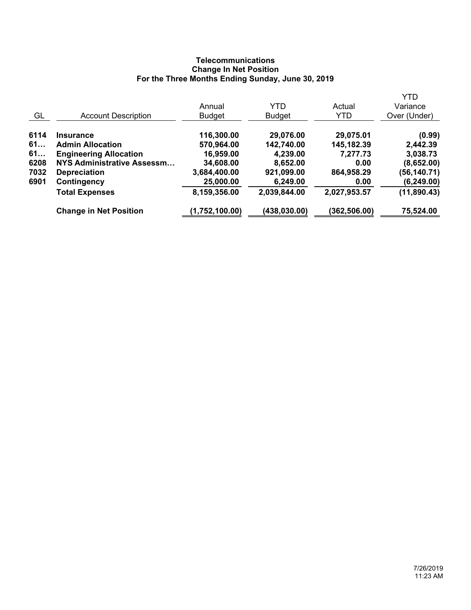# **Telecommunications Change In Net Position For the Three Months Ending Sunday, June 30, 2019**

|      |                               |                |               |              | <b>YTD</b>   |
|------|-------------------------------|----------------|---------------|--------------|--------------|
|      |                               | Annual         | <b>YTD</b>    | Actual       | Variance     |
| GL   | <b>Account Description</b>    | Budget         | <b>Budget</b> | <b>YTD</b>   | Over (Under) |
| 6114 | <b>Insurance</b>              | 116,300.00     | 29,076.00     | 29,075.01    | (0.99)       |
| 61   | <b>Admin Allocation</b>       | 570,964.00     | 142,740.00    | 145,182.39   | 2,442.39     |
| 61   | <b>Engineering Allocation</b> | 16,959.00      | 4,239.00      | 7,277.73     | 3,038.73     |
| 6208 | NYS Administrative Assessm    | 34,608.00      | 8,652.00      | 0.00         | (8,652.00)   |
| 7032 | <b>Depreciation</b>           | 3,684,400.00   | 921,099.00    | 864,958.29   | (56,140.71)  |
| 6901 | Contingency                   | 25,000.00      | 6,249.00      | 0.00         | (6, 249.00)  |
|      | <b>Total Expenses</b>         | 8,159,356.00   | 2,039,844.00  | 2,027,953.57 | (11, 890.43) |
|      | <b>Change in Net Position</b> | (1,752,100.00) | (438, 030.00) | (362,506.00) | 75,524.00    |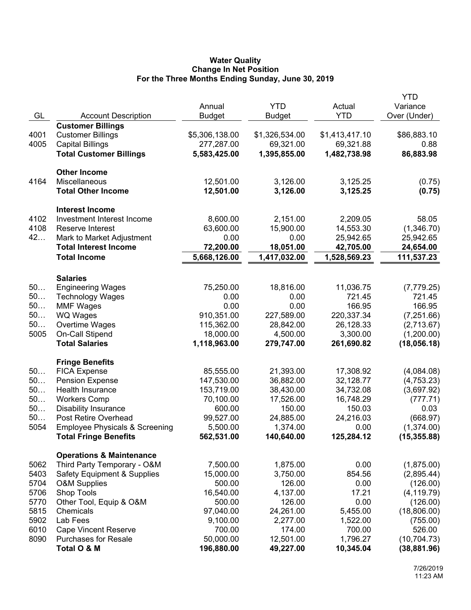## **Water Quality Change In Net Position For the Three Months Ending Sunday, June 30, 2019**

|      |                                           |                |                |                | <b>YTD</b>   |
|------|-------------------------------------------|----------------|----------------|----------------|--------------|
|      |                                           | Annual         | <b>YTD</b>     | Actual         | Variance     |
| GL   | <b>Account Description</b>                | <b>Budget</b>  | Budget         | <b>YTD</b>     | Over (Under) |
|      | <b>Customer Billings</b>                  |                |                |                |              |
| 4001 | <b>Customer Billings</b>                  | \$5,306,138.00 | \$1,326,534.00 | \$1,413,417.10 | \$86,883.10  |
| 4005 | <b>Capital Billings</b>                   | 277,287.00     | 69,321.00      | 69,321.88      | 0.88         |
|      | <b>Total Customer Billings</b>            | 5,583,425.00   | 1,395,855.00   | 1,482,738.98   | 86,883.98    |
|      |                                           |                |                |                |              |
|      | <b>Other Income</b>                       |                |                |                |              |
| 4164 | Miscellaneous                             | 12,501.00      | 3,126.00       | 3,125.25       | (0.75)       |
|      | <b>Total Other Income</b>                 | 12,501.00      | 3,126.00       | 3,125.25       | (0.75)       |
|      | <b>Interest Income</b>                    |                |                |                |              |
| 4102 | Investment Interest Income                | 8,600.00       | 2,151.00       | 2,209.05       | 58.05        |
| 4108 | Reserve Interest                          | 63,600.00      | 15,900.00      | 14,553.30      | (1,346.70)   |
| 42   | Mark to Market Adjustment                 | 0.00           | 0.00           | 25,942.65      | 25,942.65    |
|      | <b>Total Interest Income</b>              | 72,200.00      | 18,051.00      | 42,705.00      | 24,654.00    |
|      | <b>Total Income</b>                       | 5,668,126.00   | 1,417,032.00   | 1,528,569.23   | 111,537.23   |
|      |                                           |                |                |                |              |
|      | <b>Salaries</b>                           |                |                |                |              |
| 50   | <b>Engineering Wages</b>                  | 75,250.00      | 18,816.00      | 11,036.75      | (7,779.25)   |
| 50   | <b>Technology Wages</b>                   | 0.00           | 0.00           | 721.45         | 721.45       |
| 50   | <b>MMF Wages</b>                          | 0.00           | 0.00           | 166.95         | 166.95       |
| 50   | WQ Wages                                  | 910,351.00     | 227,589.00     | 220,337.34     | (7,251.66)   |
| 50   | Overtime Wages                            | 115,362.00     | 28,842.00      | 26,128.33      | (2,713.67)   |
| 5005 | On-Call Stipend                           | 18,000.00      | 4,500.00       | 3,300.00       | (1,200.00)   |
|      | <b>Total Salaries</b>                     | 1,118,963.00   | 279,747.00     | 261,690.82     | (18,056.18)  |
|      |                                           |                |                |                |              |
|      | <b>Fringe Benefits</b>                    |                |                |                |              |
| 50   | <b>FICA Expense</b>                       | 85,555.00      | 21,393.00      | 17,308.92      | (4,084.08)   |
| 50   | <b>Pension Expense</b>                    | 147,530.00     | 36,882.00      | 32,128.77      | (4,753.23)   |
| 50   | Health Insurance                          | 153,719.00     | 38,430.00      | 34,732.08      | (3,697.92)   |
| 50   | <b>Workers Comp</b>                       | 70,100.00      | 17,526.00      | 16,748.29      | (777.71)     |
| 50   | <b>Disability Insurance</b>               | 600.00         | 150.00         | 150.03         | 0.03         |
| 50   | Post Retire Overhead                      | 99,527.00      | 24,885.00      | 24,216.03      | (668.97)     |
| 5054 | <b>Employee Physicals &amp; Screening</b> | 5,500.00       | 1,374.00       | 0.00           | (1,374.00)   |
|      | <b>Total Fringe Benefits</b>              | 562,531.00     | 140,640.00     | 125,284.12     | (15, 355.88) |
|      | <b>Operations &amp; Maintenance</b>       |                |                |                |              |
| 5062 | Third Party Temporary - O&M               | 7,500.00       | 1,875.00       | 0.00           | (1,875.00)   |
| 5403 | Safety Equipment & Supplies               | 15,000.00      | 3,750.00       | 854.56         | (2,895.44)   |
| 5704 | <b>O&amp;M Supplies</b>                   | 500.00         | 126.00         | 0.00           | (126.00)     |
| 5706 | Shop Tools                                | 16,540.00      | 4,137.00       | 17.21          | (4, 119.79)  |
| 5770 | Other Tool, Equip & O&M                   | 500.00         | 126.00         | 0.00           | (126.00)     |
| 5815 | Chemicals                                 | 97,040.00      | 24,261.00      | 5,455.00       | (18,806.00)  |
| 5902 | Lab Fees                                  | 9,100.00       | 2,277.00       | 1,522.00       | (755.00)     |
| 6010 | <b>Cape Vincent Reserve</b>               | 700.00         | 174.00         | 700.00         | 526.00       |
| 8090 | <b>Purchases for Resale</b>               | 50,000.00      | 12,501.00      | 1,796.27       | (10, 704.73) |
|      | Total O & M                               | 196,880.00     | 49,227.00      | 10,345.04      | (38, 881.96) |
|      |                                           |                |                |                |              |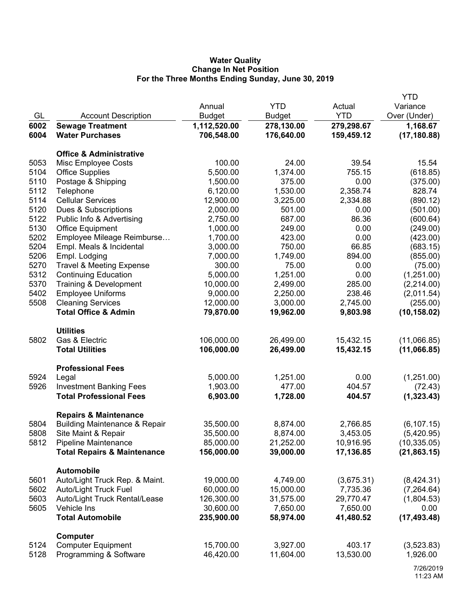## **Water Quality Change In Net Position For the Three Months Ending Sunday, June 30, 2019**

|      |                                                     |                        |                    |                  | <b>YTD</b>             |
|------|-----------------------------------------------------|------------------------|--------------------|------------------|------------------------|
|      |                                                     | Annual                 | <b>YTD</b>         | Actual           | Variance               |
| GL   | <b>Account Description</b>                          | <b>Budget</b>          | <b>Budget</b>      | <b>YTD</b>       | Over (Under)           |
| 6002 | <b>Sewage Treatment</b>                             | 1,112,520.00           | 278,130.00         | 279,298.67       | 1,168.67               |
| 6004 | <b>Water Purchases</b>                              | 706,548.00             | 176,640.00         | 159,459.12       | (17, 180.88)           |
|      | <b>Office &amp; Administrative</b>                  |                        |                    |                  |                        |
| 5053 | Misc Employee Costs                                 | 100.00                 | 24.00              | 39.54            | 15.54                  |
| 5104 | <b>Office Supplies</b>                              | 5,500.00               | 1,374.00           | 755.15           | (618.85)               |
| 5110 |                                                     |                        | 375.00             | 0.00             |                        |
| 5112 | Postage & Shipping                                  | 1,500.00<br>6,120.00   | 1,530.00           | 2,358.74         | (375.00)<br>828.74     |
| 5114 | Telephone<br><b>Cellular Services</b>               | 12,900.00              |                    |                  |                        |
| 5120 | Dues & Subscriptions                                | 2,000.00               | 3,225.00<br>501.00 | 2,334.88<br>0.00 | (890.12)               |
| 5122 |                                                     | 2,750.00               | 687.00             | 86.36            | (501.00)               |
| 5130 | Public Info & Advertising                           | 1,000.00               | 249.00             | 0.00             | (600.64)               |
| 5202 | Office Equipment                                    |                        |                    | 0.00             | (249.00)               |
| 5204 | Employee Mileage Reimburse                          | 1,700.00               | 423.00             | 66.85            | (423.00)               |
|      | Empl. Meals & Incidental                            | 3,000.00               | 750.00             |                  | (683.15)               |
| 5206 | Empl. Lodging                                       | 7,000.00               | 1,749.00           | 894.00           | (855.00)               |
| 5270 | <b>Travel &amp; Meeting Expense</b>                 | 300.00                 | 75.00              | 0.00             | (75.00)                |
| 5312 | <b>Continuing Education</b>                         | 5,000.00               | 1,251.00           | 0.00             | (1,251.00)             |
| 5370 | Training & Development                              | 10,000.00              | 2,499.00           | 285.00           | (2,214.00)             |
| 5402 | <b>Employee Uniforms</b>                            | 9,000.00               | 2,250.00           | 238.46           | (2,011.54)             |
| 5508 | <b>Cleaning Services</b>                            | 12,000.00              | 3,000.00           | 2,745.00         | (255.00)               |
|      | <b>Total Office &amp; Admin</b>                     | 79,870.00              | 19,962.00          | 9,803.98         | (10, 158.02)           |
|      | <b>Utilities</b>                                    |                        |                    |                  |                        |
| 5802 | Gas & Electric                                      | 106,000.00             | 26,499.00          | 15,432.15        | (11,066.85)            |
|      | <b>Total Utilities</b>                              | 106,000.00             | 26,499.00          | 15,432.15        | (11,066.85)            |
|      | <b>Professional Fees</b>                            |                        |                    |                  |                        |
| 5924 | Legal                                               | 5,000.00               | 1,251.00           | 0.00             | (1,251.00)             |
| 5926 | <b>Investment Banking Fees</b>                      | 1,903.00               | 477.00             | 404.57           | (72.43)                |
|      | <b>Total Professional Fees</b>                      | 6,903.00               | 1,728.00           | 404.57           | (1,323.43)             |
|      | <b>Repairs &amp; Maintenance</b>                    |                        |                    |                  |                        |
| 5804 | <b>Building Maintenance &amp; Repair</b>            | 35,500.00              | 8,874.00           | 2,766.85         | (6, 107.15)            |
| 5808 | Site Maint & Repair                                 | 35,500.00              | 8,874.00           | 3,453.05         | (5,420.95)             |
| 5812 | Pipeline Maintenance                                | 85,000.00              | 21,252.00          | 10,916.95        | (10, 335.05)           |
|      | <b>Total Repairs &amp; Maintenance</b>              | 156,000.00             | 39,000.00          | 17,136.85        | (21, 863.15)           |
|      | <b>Automobile</b>                                   |                        |                    |                  |                        |
| 5601 | Auto/Light Truck Rep. & Maint.                      | 19,000.00              | 4,749.00           | (3,675.31)       | (8,424.31)             |
| 5602 | <b>Auto/Light Truck Fuel</b>                        | 60,000.00              | 15,000.00          | 7,735.36         | (7, 264.64)            |
| 5603 | Auto/Light Truck Rental/Lease                       | 126,300.00             | 31,575.00          | 29,770.47        | (1,804.53)             |
| 5605 | Vehicle Ins                                         | 30,600.00              | 7,650.00           | 7,650.00         | 0.00                   |
|      | <b>Total Automobile</b>                             | 235,900.00             | 58,974.00          | 41,480.52        | (17, 493.48)           |
|      |                                                     |                        |                    |                  |                        |
| 5124 | Computer                                            |                        | 3,927.00           | 403.17           |                        |
| 5128 | <b>Computer Equipment</b><br>Programming & Software | 15,700.00<br>46,420.00 | 11,604.00          | 13,530.00        | (3,523.83)<br>1,926.00 |
|      |                                                     |                        |                    |                  |                        |
|      |                                                     |                        |                    |                  | 70000046               |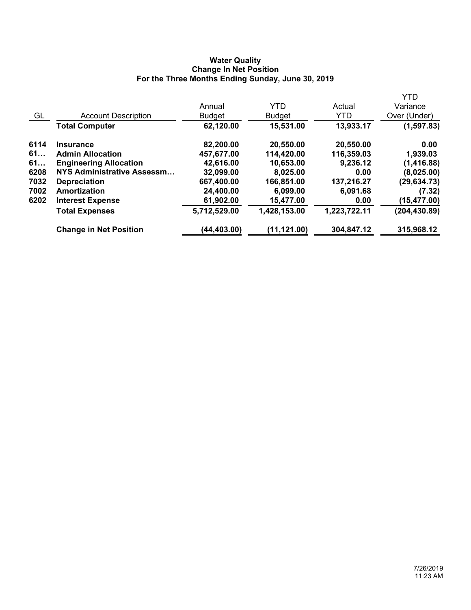## **Water Quality Change In Net Position For the Three Months Ending Sunday, June 30, 2019**

|      |                               |               |               |              | <b>YTD</b>    |
|------|-------------------------------|---------------|---------------|--------------|---------------|
|      |                               | Annual        | <b>YTD</b>    | Actual       | Variance      |
| GL   | <b>Account Description</b>    | <b>Budget</b> | <b>Budget</b> | <b>YTD</b>   | Over (Under)  |
|      | <b>Total Computer</b>         | 62,120.00     | 15,531.00     | 13,933.17    | (1, 597.83)   |
| 6114 | <b>Insurance</b>              | 82,200.00     | 20,550.00     | 20,550.00    | 0.00          |
| 61   | <b>Admin Allocation</b>       | 457,677.00    | 114,420.00    | 116,359.03   | 1,939.03      |
| 61   | <b>Engineering Allocation</b> | 42,616.00     | 10,653.00     | 9,236.12     | (1,416.88)    |
| 6208 | NYS Administrative Assessm    | 32,099.00     | 8,025.00      | 0.00         | (8,025.00)    |
| 7032 | <b>Depreciation</b>           | 667,400.00    | 166,851.00    | 137,216.27   | (29, 634.73)  |
| 7002 | Amortization                  | 24,400.00     | 6,099.00      | 6,091.68     | (7.32)        |
| 6202 | <b>Interest Expense</b>       | 61,902.00     | 15,477.00     | 0.00         | (15, 477.00)  |
|      | <b>Total Expenses</b>         | 5,712,529.00  | 1,428,153.00  | 1,223,722.11 | (204, 430.89) |
|      | <b>Change in Net Position</b> | (44,403.00)   | (11, 121.00)  | 304,847.12   | 315,968.12    |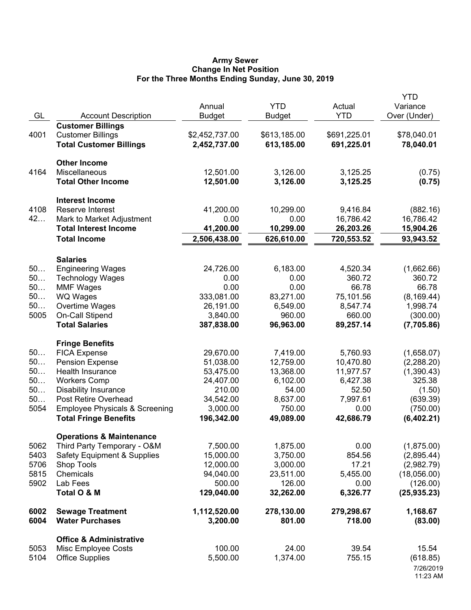#### **Army Sewer Change In Net Position For the Three Months Ending Sunday, June 30, 2019**

| GL       | <b>Account Description</b>                         | Annual<br><b>Budget</b> | <b>YTD</b><br><b>Budget</b> | Actual<br><b>YTD</b> | <b>YTD</b><br>Variance<br>Over (Under) |
|----------|----------------------------------------------------|-------------------------|-----------------------------|----------------------|----------------------------------------|
|          | <b>Customer Billings</b>                           |                         |                             |                      |                                        |
| 4001     | <b>Customer Billings</b>                           | \$2,452,737.00          | \$613,185.00                | \$691,225.01         | \$78,040.01                            |
|          | <b>Total Customer Billings</b>                     | 2,452,737.00            | 613,185.00                  | 691,225.01           | 78,040.01                              |
|          | <b>Other Income</b>                                |                         |                             |                      |                                        |
| 4164     | Miscellaneous                                      | 12,501.00               | 3,126.00                    | 3,125.25             | (0.75)                                 |
|          | <b>Total Other Income</b>                          | 12,501.00               | 3,126.00                    | 3,125.25             | (0.75)                                 |
|          | <b>Interest Income</b>                             |                         |                             |                      |                                        |
| 4108     | Reserve Interest                                   | 41,200.00               | 10,299.00                   | 9,416.84             | (882.16)                               |
| 42       | Mark to Market Adjustment                          | 0.00                    | 0.00                        | 16,786.42            | 16,786.42                              |
|          | <b>Total Interest Income</b>                       | 41,200.00               | 10,299.00                   | 26,203.26            | 15,904.26                              |
|          | <b>Total Income</b>                                | 2,506,438.00            | 626,610.00                  | 720,553.52           | 93,943.52                              |
|          | <b>Salaries</b>                                    |                         |                             |                      |                                        |
| 50       | <b>Engineering Wages</b>                           | 24,726.00               | 6,183.00                    | 4,520.34             | (1,662.66)                             |
| 50       | <b>Technology Wages</b>                            | 0.00                    | 0.00                        | 360.72               | 360.72                                 |
| 50       | <b>MMF Wages</b>                                   | 0.00                    | 0.00                        | 66.78                | 66.78                                  |
| 50       | WQ Wages                                           | 333,081.00              | 83,271.00                   | 75,101.56            | (8, 169.44)                            |
| 50       | Overtime Wages                                     | 26,191.00               | 6,549.00                    | 8,547.74             | 1,998.74                               |
| 5005     | <b>On-Call Stipend</b>                             | 3,840.00                | 960.00                      | 660.00               | (300.00)                               |
|          | <b>Total Salaries</b>                              | 387,838.00              | 96,963.00                   | 89,257.14            | (7,705.86)                             |
|          | <b>Fringe Benefits</b>                             |                         |                             |                      |                                        |
| 50       | <b>FICA Expense</b>                                | 29,670.00               | 7,419.00                    | 5,760.93             | (1,658.07)                             |
| 50<br>50 | <b>Pension Expense</b>                             | 51,038.00               | 12,759.00                   | 10,470.80            | (2, 288.20)                            |
| 50       | Health Insurance                                   | 53,475.00               | 13,368.00                   | 11,977.57            | (1,390.43)<br>325.38                   |
| 50       | <b>Workers Comp</b><br><b>Disability Insurance</b> | 24,407.00<br>210.00     | 6,102.00<br>54.00           | 6,427.38<br>52.50    | (1.50)                                 |
| 50       | Post Retire Overhead                               | 34,542.00               | 8,637.00                    | 7,997.61             | (639.39)                               |
| 5054     | <b>Employee Physicals &amp; Screening</b>          | 3,000.00                | 750.00                      | 0.00                 | (750.00)                               |
|          | <b>Total Fringe Benefits</b>                       | 196,342.00              | 49,089.00                   | 42,686.79            | (6,402.21)                             |
|          | <b>Operations &amp; Maintenance</b>                |                         |                             |                      |                                        |
| 5062     | Third Party Temporary - O&M                        | 7,500.00                | 1,875.00                    | 0.00                 | (1,875.00)                             |
| 5403     | <b>Safety Equipment &amp; Supplies</b>             | 15,000.00               | 3,750.00                    | 854.56               | (2,895.44)                             |
| 5706     | Shop Tools                                         | 12,000.00               | 3,000.00                    | 17.21                | (2,982.79)                             |
| 5815     | Chemicals                                          | 94,040.00               | 23,511.00                   | 5,455.00             | (18,056.00)                            |
| 5902     | Lab Fees                                           | 500.00                  | 126.00                      | 0.00                 | (126.00)                               |
|          | Total O & M                                        | 129,040.00              | 32,262.00                   | 6,326.77             | (25, 935.23)                           |
| 6002     | <b>Sewage Treatment</b>                            | 1,112,520.00            | 278,130.00                  | 279,298.67           | 1,168.67                               |
| 6004     | <b>Water Purchases</b>                             | 3,200.00                | 801.00                      | 718.00               | (83.00)                                |
|          | <b>Office &amp; Administrative</b>                 |                         |                             |                      |                                        |
| 5053     | Misc Employee Costs                                | 100.00                  | 24.00                       | 39.54                | 15.54                                  |
| 5104     | <b>Office Supplies</b>                             | 5,500.00                | 1,374.00                    | 755.15               | (618.85)                               |
|          |                                                    |                         |                             |                      | 7/26/2019<br>11:23 AM                  |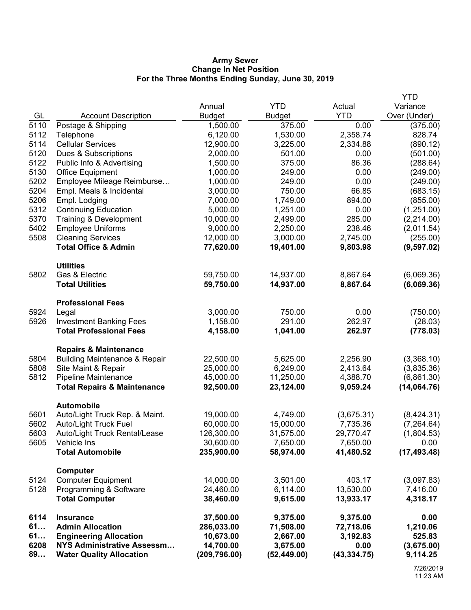### **Army Sewer Change In Net Position For the Three Months Ending Sunday, June 30, 2019**

|              |                                                      |                         |                       |                       | <b>YTD</b>             |
|--------------|------------------------------------------------------|-------------------------|-----------------------|-----------------------|------------------------|
|              |                                                      | Annual                  | <b>YTD</b>            | Actual                | Variance               |
| GL           | <b>Account Description</b>                           | <b>Budget</b>           | <b>Budget</b>         | <b>YTD</b>            | Over (Under)           |
| 5110         | Postage & Shipping                                   | 1,500.00                | 375.00                | 0.00                  | (375.00)               |
| 5112         | Telephone                                            | 6,120.00                | 1,530.00              | 2,358.74              | 828.74                 |
| 5114         | <b>Cellular Services</b>                             | 12,900.00               | 3,225.00              | 2,334.88              | (890.12)               |
| 5120         | Dues & Subscriptions                                 | 2,000.00                | 501.00                | 0.00                  | (501.00)               |
| 5122         | Public Info & Advertising                            | 1,500.00                | 375.00                | 86.36                 | (288.64)               |
| 5130         | Office Equipment                                     | 1,000.00                | 249.00                | 0.00                  | (249.00)               |
| 5202         | Employee Mileage Reimburse                           | 1,000.00                | 249.00                | 0.00                  | (249.00)               |
| 5204         | Empl. Meals & Incidental                             | 3,000.00                | 750.00                | 66.85                 | (683.15)               |
| 5206         | Empl. Lodging                                        | 7,000.00                | 1,749.00              | 894.00                | (855.00)               |
| 5312         | <b>Continuing Education</b>                          | 5,000.00                | 1,251.00              | 0.00                  | (1,251.00)             |
| 5370<br>5402 | Training & Development                               | 10,000.00               | 2,499.00              | 285.00<br>238.46      | (2,214.00)             |
| 5508         | <b>Employee Uniforms</b><br><b>Cleaning Services</b> | 9,000.00<br>12,000.00   | 2,250.00<br>3,000.00  | 2,745.00              | (2,011.54)<br>(255.00) |
|              | <b>Total Office &amp; Admin</b>                      | 77,620.00               | 19,401.00             | 9,803.98              | (9,597.02)             |
|              |                                                      |                         |                       |                       |                        |
|              | <b>Utilities</b>                                     |                         |                       |                       |                        |
| 5802         | Gas & Electric                                       | 59,750.00               | 14,937.00             | 8,867.64              | (6,069.36)             |
|              | <b>Total Utilities</b>                               | 59,750.00               | 14,937.00             | 8,867.64              | (6,069.36)             |
|              |                                                      |                         |                       |                       |                        |
| 5924         | <b>Professional Fees</b>                             | 3,000.00                | 750.00                | 0.00                  | (750.00)               |
| 5926         | Legal<br><b>Investment Banking Fees</b>              | 1,158.00                | 291.00                | 262.97                | (28.03)                |
|              | <b>Total Professional Fees</b>                       | 4,158.00                | 1,041.00              | 262.97                | (778.03)               |
|              |                                                      |                         |                       |                       |                        |
|              | <b>Repairs &amp; Maintenance</b>                     |                         |                       |                       |                        |
| 5804         | <b>Building Maintenance &amp; Repair</b>             | 22,500.00               | 5,625.00              | 2,256.90              | (3,368.10)             |
| 5808         | Site Maint & Repair                                  | 25,000.00               | 6,249.00              | 2,413.64              | (3,835.36)             |
| 5812         | Pipeline Maintenance                                 | 45,000.00               | 11,250.00             | 4,388.70              | (6,861.30)             |
|              | <b>Total Repairs &amp; Maintenance</b>               | 92,500.00               | 23,124.00             | 9,059.24              | (14,064.76)            |
|              | <b>Automobile</b>                                    |                         |                       |                       |                        |
| 5601         | Auto/Light Truck Rep. & Maint.                       | 19,000.00               | 4,749.00              | (3,675.31)            | (8,424.31)             |
| 5602         | Auto/Light Truck Fuel                                | 60,000.00               | 15,000.00             | 7,735.36              | (7, 264.64)            |
| 5603         | Auto/Light Truck Rental/Lease                        | 126,300.00              | 31,575.00             | 29,770.47             | (1,804.53)             |
| 5605         | Vehicle Ins                                          | 30,600.00               | 7,650.00              | 7,650.00              | 0.00                   |
|              | <b>Total Automobile</b>                              | 235,900.00              | 58,974.00             | 41,480.52             | (17, 493.48)           |
|              |                                                      |                         |                       |                       |                        |
| 5124         | Computer<br><b>Computer Equipment</b>                | 14,000.00               | 3,501.00              | 403.17                | (3,097.83)             |
| 5128         | Programming & Software                               | 24,460.00               | 6,114.00              | 13,530.00             | 7,416.00               |
|              | <b>Total Computer</b>                                | 38,460.00               | 9,615.00              | 13,933.17             | 4,318.17               |
|              |                                                      |                         |                       |                       |                        |
| 6114<br>61   | <b>Insurance</b><br><b>Admin Allocation</b>          | 37,500.00<br>286,033.00 | 9,375.00<br>71,508.00 | 9,375.00<br>72,718.06 | 0.00<br>1,210.06       |
| 61           | <b>Engineering Allocation</b>                        | 10,673.00               | 2,667.00              | 3,192.83              | 525.83                 |
| 6208         | NYS Administrative Assessm                           | 14,700.00               | 3,675.00              | 0.00                  | (3,675.00)             |
| 89           | <b>Water Quality Allocation</b>                      | (209, 796.00)           | (52, 449.00)          | (43, 334.75)          | 9,114.25               |
|              |                                                      |                         |                       |                       |                        |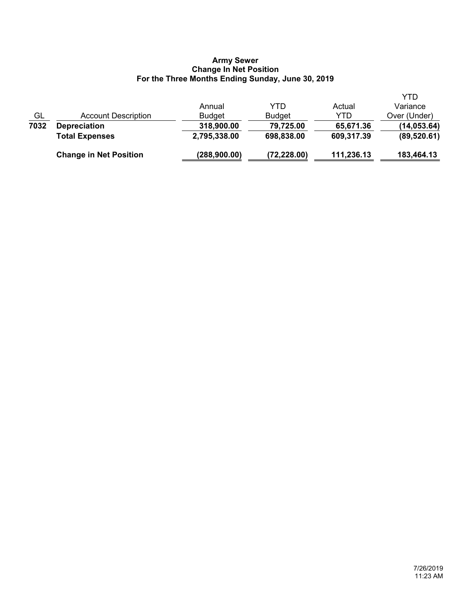### **Army Sewer Change In Net Position For the Three Months Ending Sunday, June 30, 2019**

|           | <b>Change in Net Position</b> | (288, 900.00) | (72, 228.00)  | 111,236.13 | 183,464.13   |
|-----------|-------------------------------|---------------|---------------|------------|--------------|
|           | <b>Total Expenses</b>         | 2,795,338.00  | 698,838.00    | 609,317.39 | (89, 520.61) |
| 7032      | <b>Depreciation</b>           | 318,900.00    | 79,725.00     | 65,671.36  | (14, 053.64) |
| <u>GL</u> | Account Description           | <b>Budget</b> | <b>Budget</b> | YTD        | Over (Under) |
|           |                               | Annual        | YTD           | Actual     | Variance     |
|           |                               |               |               |            | YTD          |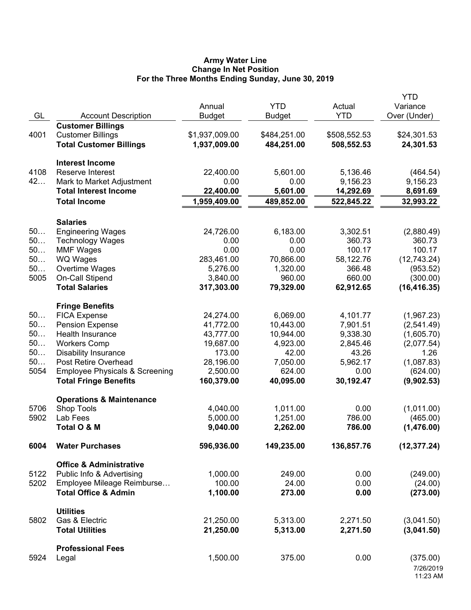## **Army Water Line Change In Net Position For the Three Months Ending Sunday, June 30, 2019**

| GL         | <b>Account Description</b>                                                | Annual<br><b>Budget</b> | <b>YTD</b><br><b>Budget</b> | Actual<br><b>YTD</b> | <b>YTD</b><br>Variance<br>Over (Under) |
|------------|---------------------------------------------------------------------------|-------------------------|-----------------------------|----------------------|----------------------------------------|
|            | <b>Customer Billings</b>                                                  |                         |                             |                      |                                        |
| 4001       | <b>Customer Billings</b>                                                  | \$1,937,009.00          | \$484,251.00                | \$508,552.53         | \$24,301.53                            |
|            | <b>Total Customer Billings</b>                                            | 1,937,009.00            | 484,251.00                  | 508,552.53           | 24,301.53                              |
|            | <b>Interest Income</b>                                                    |                         |                             |                      |                                        |
| 4108       | Reserve Interest                                                          | 22,400.00               | 5,601.00                    | 5,136.46             | (464.54)                               |
| 42         | Mark to Market Adjustment                                                 | 0.00                    | 0.00                        | 9,156.23             | 9,156.23                               |
|            | <b>Total Interest Income</b>                                              | 22,400.00               | 5,601.00                    | 14,292.69            | 8,691.69                               |
|            | <b>Total Income</b>                                                       | 1,959,409.00            | 489,852.00                  | 522,845.22           | 32,993.22                              |
|            | <b>Salaries</b>                                                           |                         |                             |                      |                                        |
| 50         | <b>Engineering Wages</b>                                                  | 24,726.00               | 6,183.00                    | 3,302.51             | (2,880.49)                             |
| 50         | <b>Technology Wages</b>                                                   | 0.00                    | 0.00                        | 360.73               | 360.73                                 |
| 50         | <b>MMF Wages</b>                                                          | 0.00                    | 0.00                        | 100.17               | 100.17                                 |
| 50         | <b>WQ Wages</b>                                                           | 283,461.00              | 70,866.00                   | 58,122.76            | (12,743.24)                            |
| 50         | Overtime Wages                                                            | 5,276.00                | 1,320.00                    | 366.48               | (953.52)                               |
| 5005       | On-Call Stipend                                                           | 3,840.00                | 960.00                      | 660.00               | (300.00)                               |
|            | <b>Total Salaries</b>                                                     | 317,303.00              | 79,329.00                   | 62,912.65            | (16, 416.35)                           |
|            | <b>Fringe Benefits</b>                                                    |                         |                             |                      |                                        |
| 50         | <b>FICA Expense</b>                                                       | 24,274.00               | 6,069.00                    | 4,101.77             | (1,967.23)                             |
| 50         | <b>Pension Expense</b>                                                    | 41,772.00               | 10,443.00                   | 7,901.51             | (2,541.49)                             |
| 50         | Health Insurance                                                          | 43,777.00               | 10,944.00                   | 9,338.30             | (1,605.70)                             |
| 50         | <b>Workers Comp</b>                                                       | 19,687.00               | 4,923.00                    | 2,845.46             | (2,077.54)                             |
| 50         | <b>Disability Insurance</b>                                               | 173.00                  | 42.00                       | 43.26                | 1.26                                   |
| 50<br>5054 | Post Retire Overhead                                                      | 28,196.00<br>2,500.00   | 7,050.00<br>624.00          | 5,962.17<br>0.00     | (1,087.83)<br>(624.00)                 |
|            | <b>Employee Physicals &amp; Screening</b><br><b>Total Fringe Benefits</b> | 160,379.00              | 40,095.00                   | 30,192.47            | (9,902.53)                             |
|            | <b>Operations &amp; Maintenance</b>                                       |                         |                             |                      |                                        |
| 5706       | Shop Tools                                                                | 4,040.00                | 1,011.00                    | 0.00                 | (1,011.00)                             |
| 5902       | Lab Fees                                                                  | 5,000.00                | 1,251.00                    | 786.00               | (465.00)                               |
|            | Total O & M                                                               | 9,040.00                | 2,262.00                    | 786.00               | (1,476.00)                             |
| 6004       | <b>Water Purchases</b>                                                    | 596,936.00              | 149,235.00                  | 136,857.76           | (12, 377.24)                           |
|            | <b>Office &amp; Administrative</b>                                        |                         |                             |                      |                                        |
| 5122       | Public Info & Advertising                                                 | 1,000.00                | 249.00                      | 0.00                 | (249.00)                               |
| 5202       | Employee Mileage Reimburse                                                | 100.00                  | 24.00                       | 0.00                 | (24.00)                                |
|            | <b>Total Office &amp; Admin</b>                                           | 1,100.00                | 273.00                      | 0.00                 | (273.00)                               |
|            | <b>Utilities</b>                                                          |                         |                             |                      |                                        |
| 5802       | Gas & Electric                                                            | 21,250.00               | 5,313.00                    | 2,271.50             | (3,041.50)                             |
|            | <b>Total Utilities</b>                                                    | 21,250.00               | 5,313.00                    | 2,271.50             | (3,041.50)                             |
|            | <b>Professional Fees</b>                                                  |                         |                             |                      |                                        |
| 5924       | Legal                                                                     | 1,500.00                | 375.00                      | 0.00                 | (375.00)                               |
|            |                                                                           |                         |                             |                      | 7/26/2019<br>11:23 AM                  |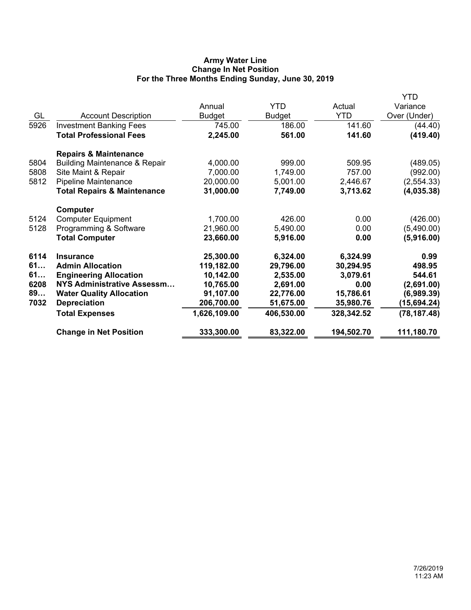## **Army Water Line Change In Net Position For the Three Months Ending Sunday, June 30, 2019**

|      |                                          |               |            |            | YTD          |
|------|------------------------------------------|---------------|------------|------------|--------------|
|      |                                          | Annual        | YTD        | Actual     | Variance     |
| GL   | <b>Account Description</b>               | <b>Budget</b> | Budget     | <b>YTD</b> | Over (Under) |
| 5926 | <b>Investment Banking Fees</b>           | 745.00        | 186.00     | 141.60     | (44.40)      |
|      | <b>Total Professional Fees</b>           | 2,245.00      | 561.00     | 141.60     | (419.40)     |
|      | <b>Repairs &amp; Maintenance</b>         |               |            |            |              |
| 5804 | <b>Building Maintenance &amp; Repair</b> | 4,000.00      | 999.00     | 509.95     | (489.05)     |
| 5808 | Site Maint & Repair                      | 7,000.00      | 1,749.00   | 757.00     | (992.00)     |
| 5812 | <b>Pipeline Maintenance</b>              | 20,000.00     | 5,001.00   | 2,446.67   | (2,554.33)   |
|      | <b>Total Repairs &amp; Maintenance</b>   | 31,000.00     | 7,749.00   | 3,713.62   | (4,035.38)   |
|      | Computer                                 |               |            |            |              |
| 5124 | <b>Computer Equipment</b>                | 1,700.00      | 426.00     | 0.00       | (426.00)     |
| 5128 | Programming & Software                   | 21,960.00     | 5,490.00   | 0.00       | (5,490.00)   |
|      | <b>Total Computer</b>                    | 23,660.00     | 5,916.00   | 0.00       | (5,916.00)   |
| 6114 | <b>Insurance</b>                         | 25,300.00     | 6,324.00   | 6,324.99   | 0.99         |
| 61   | <b>Admin Allocation</b>                  | 119,182.00    | 29,796.00  | 30,294.95  | 498.95       |
| 61   | <b>Engineering Allocation</b>            | 10,142.00     | 2,535.00   | 3,079.61   | 544.61       |
| 6208 | <b>NYS Administrative Assessm</b>        | 10,765.00     | 2,691.00   | 0.00       | (2,691.00)   |
| 89   | <b>Water Quality Allocation</b>          | 91,107.00     | 22,776.00  | 15,786.61  | (6,989.39)   |
| 7032 | <b>Depreciation</b>                      | 206,700.00    | 51,675.00  | 35,980.76  | (15,694.24)  |
|      | <b>Total Expenses</b>                    | 1,626,109.00  | 406,530.00 | 328,342.52 | (78, 187.48) |
|      | <b>Change in Net Position</b>            | 333,300.00    | 83,322.00  | 194,502.70 | 111,180.70   |
|      |                                          |               |            |            |              |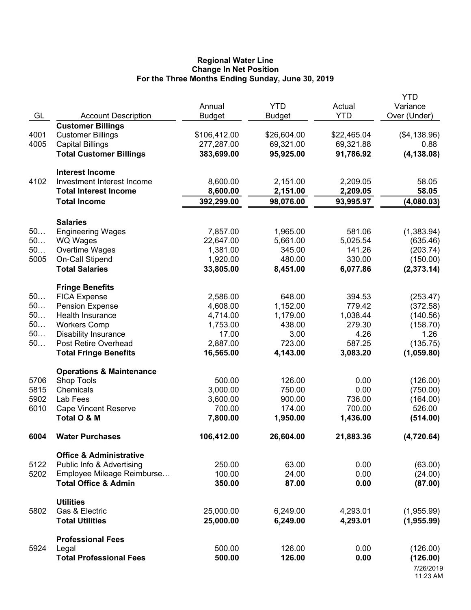### **Regional Water Line Change In Net Position For the Three Months Ending Sunday, June 30, 2019**

|      |                                     | Annual        | <b>YTD</b>    | Actual      | YTD<br>Variance       |
|------|-------------------------------------|---------------|---------------|-------------|-----------------------|
| GL   | <b>Account Description</b>          | <b>Budget</b> | <b>Budget</b> | <b>YTD</b>  | Over (Under)          |
|      | <b>Customer Billings</b>            |               |               |             |                       |
| 4001 | <b>Customer Billings</b>            | \$106,412.00  | \$26,604.00   | \$22,465.04 | (\$4,138.96)          |
| 4005 | <b>Capital Billings</b>             | 277,287.00    | 69,321.00     | 69,321.88   | 0.88                  |
|      | <b>Total Customer Billings</b>      | 383,699.00    | 95,925.00     | 91,786.92   | (4, 138.08)           |
|      | <b>Interest Income</b>              |               |               |             |                       |
| 4102 | Investment Interest Income          | 8,600.00      | 2,151.00      | 2,209.05    | 58.05                 |
|      | <b>Total Interest Income</b>        | 8,600.00      | 2,151.00      | 2,209.05    | 58.05                 |
|      | <b>Total Income</b>                 | 392,299.00    | 98,076.00     | 93,995.97   | (4,080.03)            |
|      | <b>Salaries</b>                     |               |               |             |                       |
| 50   | <b>Engineering Wages</b>            | 7,857.00      | 1,965.00      | 581.06      | (1,383.94)            |
| 50   | <b>WQ Wages</b>                     | 22,647.00     | 5,661.00      | 5,025.54    | (635.46)              |
| 50   | Overtime Wages                      | 1,381.00      | 345.00        | 141.26      | (203.74)              |
| 5005 | On-Call Stipend                     | 1,920.00      | 480.00        | 330.00      | (150.00)              |
|      | <b>Total Salaries</b>               | 33,805.00     | 8,451.00      | 6,077.86    | (2,373.14)            |
|      | <b>Fringe Benefits</b>              |               |               |             |                       |
| 50   | <b>FICA Expense</b>                 | 2,586.00      | 648.00        | 394.53      | (253.47)              |
| 50   | <b>Pension Expense</b>              | 4,608.00      | 1,152.00      | 779.42      | (372.58)              |
| 50   | Health Insurance                    | 4,714.00      | 1,179.00      | 1,038.44    | (140.56)              |
| 50   | <b>Workers Comp</b>                 | 1,753.00      | 438.00        | 279.30      | (158.70)              |
| 50   | <b>Disability Insurance</b>         | 17.00         | 3.00          | 4.26        | 1.26                  |
| $50$ | Post Retire Overhead                | 2,887.00      | 723.00        | 587.25      | (135.75)              |
|      | <b>Total Fringe Benefits</b>        | 16,565.00     | 4,143.00      | 3,083.20    | (1,059.80)            |
|      | <b>Operations &amp; Maintenance</b> |               |               |             |                       |
| 5706 | Shop Tools                          | 500.00        | 126.00        | 0.00        | (126.00)              |
| 5815 | Chemicals                           | 3,000.00      | 750.00        | 0.00        | (750.00)              |
| 5902 | Lab Fees                            | 3,600.00      | 900.00        | 736.00      | (164.00)              |
| 6010 | <b>Cape Vincent Reserve</b>         | 700.00        | 174.00        | 700.00      | 526.00                |
|      | Total O & M                         | 7,800.00      | 1,950.00      | 1,436.00    | (514.00)              |
| 6004 | <b>Water Purchases</b>              | 106,412.00    | 26,604.00     | 21,883.36   | (4,720.64)            |
|      | <b>Office &amp; Administrative</b>  |               |               |             |                       |
| 5122 | Public Info & Advertising           | 250.00        | 63.00         | 0.00        | (63.00)               |
| 5202 | Employee Mileage Reimburse          | 100.00        | 24.00         | 0.00        | (24.00)               |
|      | <b>Total Office &amp; Admin</b>     | 350.00        | 87.00         | 0.00        | (87.00)               |
|      | <b>Utilities</b>                    |               |               |             |                       |
| 5802 | Gas & Electric                      | 25,000.00     | 6,249.00      | 4,293.01    | (1,955.99)            |
|      | <b>Total Utilities</b>              | 25,000.00     | 6,249.00      | 4,293.01    | (1,955.99)            |
|      | <b>Professional Fees</b>            |               |               |             |                       |
| 5924 | Legal                               | 500.00        | 126.00        | 0.00        | (126.00)              |
|      | <b>Total Professional Fees</b>      | 500.00        | 126.00        | 0.00        | (126.00)              |
|      |                                     |               |               |             | 7/26/2019<br>11:23 AM |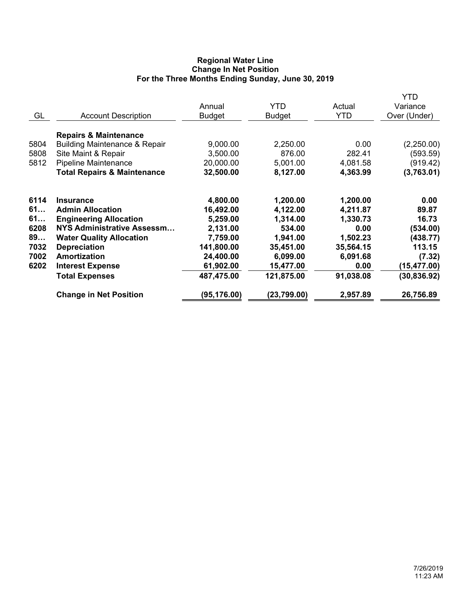## **Regional Water Line Change In Net Position For the Three Months Ending Sunday, June 30, 2019**

|      |                                          | Annual        | <b>YTD</b>    | Actual     | YTD<br>Variance |
|------|------------------------------------------|---------------|---------------|------------|-----------------|
| GL   | <b>Account Description</b>               | <b>Budget</b> | <b>Budget</b> | <b>YTD</b> | Over (Under)    |
|      | <b>Repairs &amp; Maintenance</b>         |               |               |            |                 |
| 5804 | <b>Building Maintenance &amp; Repair</b> | 9,000.00      | 2,250.00      | 0.00       | (2,250.00)      |
| 5808 | Site Maint & Repair                      | 3,500.00      | 876.00        | 282.41     | (593.59)        |
| 5812 | <b>Pipeline Maintenance</b>              | 20,000.00     | 5,001.00      | 4,081.58   | (919.42)        |
|      | <b>Total Repairs &amp; Maintenance</b>   | 32,500.00     | 8,127.00      | 4,363.99   | (3,763.01)      |
| 6114 | <b>Insurance</b>                         | 4,800.00      | 1,200.00      | 1,200.00   | 0.00            |
| 61   | <b>Admin Allocation</b>                  | 16,492.00     | 4,122.00      | 4,211.87   | 89.87           |
| 61   | <b>Engineering Allocation</b>            | 5,259.00      | 1,314.00      | 1,330.73   | 16.73           |
| 6208 | <b>NYS Administrative Assessm</b>        | 2,131.00      | 534.00        | 0.00       | (534.00)        |
| 89   | <b>Water Quality Allocation</b>          | 7,759.00      | 1,941.00      | 1,502.23   | (438.77)        |
| 7032 | <b>Depreciation</b>                      | 141,800.00    | 35,451.00     | 35,564.15  | 113.15          |
| 7002 | <b>Amortization</b>                      | 24,400.00     | 6,099.00      | 6,091.68   | (7.32)          |
| 6202 | <b>Interest Expense</b>                  | 61,902.00     | 15,477.00     | 0.00       | (15, 477.00)    |
|      | <b>Total Expenses</b>                    | 487,475.00    | 121,875.00    | 91,038.08  | (30, 836.92)    |
|      | <b>Change in Net Position</b>            | (95, 176.00)  | (23,799.00)   | 2,957.89   | 26,756.89       |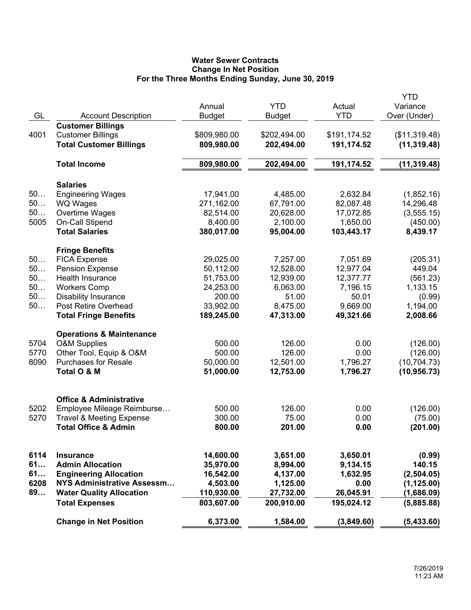# **Water Sewer Contracts Change In Net Position For the Three Months Ending Sunday, June 30, 2019**

|      |                                                   |               |               |              | <b>YTD</b>           |
|------|---------------------------------------------------|---------------|---------------|--------------|----------------------|
|      |                                                   | Annual        | <b>YTD</b>    | Actual       | Variance             |
| GL   | <b>Account Description</b>                        | <b>Budget</b> | <b>Budget</b> | <b>YTD</b>   | Over (Under)         |
|      | <b>Customer Billings</b>                          |               |               |              |                      |
| 4001 | <b>Customer Billings</b>                          | \$809,980.00  | \$202,494.00  | \$191,174.52 | (\$11,319.48)        |
|      | <b>Total Customer Billings</b>                    | 809,980.00    | 202,494.00    | 191,174.52   | (11, 319.48)         |
|      | <b>Total Income</b>                               | 809,980.00    | 202,494.00    | 191,174.52   | (11, 319.48)         |
|      |                                                   |               |               |              |                      |
|      | <b>Salaries</b>                                   |               |               |              |                      |
| 50   | <b>Engineering Wages</b>                          | 17,941.00     | 4,485.00      | 2,632.84     | (1,852.16)           |
| 50   | <b>WQ Wages</b>                                   | 271,162.00    | 67,791.00     | 82,087.48    | 14,296.48            |
| 50   | Overtime Wages                                    | 82,514.00     | 20,628.00     | 17,072.85    | (3,555.15)           |
| 5005 | On-Call Stipend                                   | 8,400.00      | 2,100.00      | 1,650.00     | (450.00)             |
|      | <b>Total Salaries</b>                             | 380,017.00    | 95,004.00     | 103,443.17   | 8,439.17             |
|      |                                                   |               |               |              |                      |
| 50   | <b>Fringe Benefits</b><br><b>FICA Expense</b>     | 29,025.00     | 7,257.00      | 7,051.69     | (205.31)             |
| 50   |                                                   | 50,112.00     | 12,528.00     | 12,977.04    | 449.04               |
| 50   | <b>Pension Expense</b><br><b>Health Insurance</b> | 51,753.00     | 12,939.00     | 12,377.77    |                      |
| 50   |                                                   | 24,253.00     | 6,063.00      |              | (561.23)<br>1,133.15 |
| 50   | <b>Workers Comp</b>                               |               |               | 7,196.15     |                      |
|      | <b>Disability Insurance</b>                       | 200.00        | 51.00         | 50.01        | (0.99)               |
| 50   | Post Retire Overhead                              | 33,902.00     | 8,475.00      | 9,669.00     | 1,194.00             |
|      | <b>Total Fringe Benefits</b>                      | 189,245.00    | 47,313.00     | 49,321.66    | 2,008.66             |
|      | <b>Operations &amp; Maintenance</b>               |               |               |              |                      |
| 5704 | <b>O&amp;M Supplies</b>                           | 500.00        | 126.00        | 0.00         | (126.00)             |
| 5770 | Other Tool, Equip & O&M                           | 500.00        | 126.00        | 0.00         | (126.00)             |
| 8090 | <b>Purchases for Resale</b>                       | 50,000.00     | 12,501.00     | 1,796.27     | (10, 704.73)         |
|      | Total O & M                                       | 51,000.00     | 12,753.00     | 1,796.27     | (10, 956.73)         |
|      |                                                   |               |               |              |                      |
|      | <b>Office &amp; Administrative</b>                |               |               |              |                      |
| 5202 | Employee Mileage Reimburse                        | 500.00        | 126.00        | 0.00         | (126.00)             |
| 5270 | <b>Travel &amp; Meeting Expense</b>               | 300.00        | 75.00         | 0.00         | (75.00)              |
|      | <b>Total Office &amp; Admin</b>                   | 800.00        | 201.00        | 0.00         | (201.00)             |
|      |                                                   |               |               |              |                      |
|      |                                                   |               |               |              |                      |
| 6114 | <b>Insurance</b>                                  | 14,600.00     | 3,651.00      | 3,650.01     | (0.99)               |
| 61   | <b>Admin Allocation</b>                           | 35,970.00     | 8,994.00      | 9,134.15     | 140.15               |
| 61   | <b>Engineering Allocation</b>                     | 16,542.00     | 4,137.00      | 1,632.95     | (2,504.05)           |
| 6208 | NYS Administrative Assessm                        | 4,503.00      | 1,125.00      | 0.00         | (1, 125.00)          |
| 89   | <b>Water Quality Allocation</b>                   | 110,930.00    | 27,732.00     | 26,045.91    | (1,686.09)           |
|      | <b>Total Expenses</b>                             | 803,607.00    | 200,910.00    | 195,024.12   | (5,885.88)           |
|      | <b>Change in Net Position</b>                     | 6,373.00      | 1,584.00      | (3,849.60)   | (5,433.60)           |
|      |                                                   |               |               |              |                      |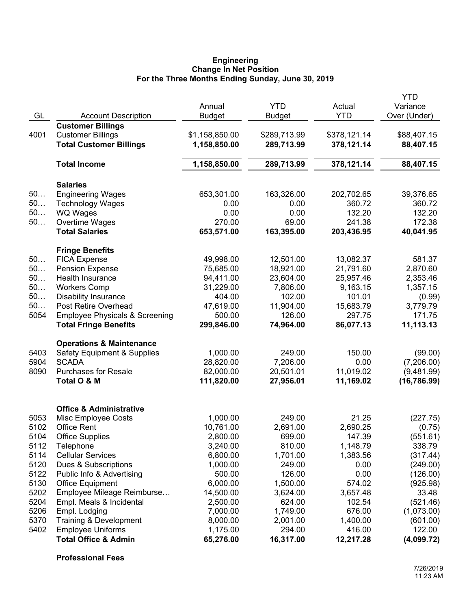#### **Engineering Change In Net Position For the Three Months Ending Sunday, June 30, 2019**

|              |                                                                           | Annual                 | <b>YTD</b>            | Actual              | YTD<br>Variance            |
|--------------|---------------------------------------------------------------------------|------------------------|-----------------------|---------------------|----------------------------|
| GL           | <b>Account Description</b>                                                | <b>Budget</b>          | <b>Budget</b>         | <b>YTD</b>          | Over (Under)               |
|              | <b>Customer Billings</b>                                                  |                        |                       |                     |                            |
| 4001         | <b>Customer Billings</b>                                                  | \$1,158,850.00         | \$289,713.99          | \$378,121.14        | \$88,407.15                |
|              | <b>Total Customer Billings</b>                                            | 1,158,850.00           | 289,713.99            | 378,121.14          | 88,407.15                  |
|              | <b>Total Income</b>                                                       | 1,158,850.00           | 289,713.99            | 378,121.14          | 88,407.15                  |
|              | <b>Salaries</b>                                                           |                        |                       |                     |                            |
| 50           | <b>Engineering Wages</b>                                                  | 653,301.00             | 163,326.00            | 202,702.65          | 39,376.65                  |
| 50           | <b>Technology Wages</b>                                                   | 0.00                   | 0.00                  | 360.72              | 360.72                     |
| 50           | <b>WQ Wages</b>                                                           | 0.00                   | 0.00                  | 132.20              | 132.20                     |
| 50           | Overtime Wages                                                            | 270.00                 | 69.00                 | 241.38              | 172.38                     |
|              | <b>Total Salaries</b>                                                     | 653,571.00             | 163,395.00            | 203,436.95          | 40,041.95                  |
|              | <b>Fringe Benefits</b>                                                    |                        |                       |                     |                            |
| 50           | <b>FICA Expense</b>                                                       | 49,998.00              | 12,501.00             | 13,082.37           | 581.37                     |
| 50           | <b>Pension Expense</b>                                                    | 75,685.00              | 18,921.00             | 21,791.60           | 2,870.60                   |
| 50           | Health Insurance                                                          | 94,411.00              | 23,604.00             | 25,957.46           | 2,353.46                   |
| 50           | <b>Workers Comp</b>                                                       | 31,229.00              | 7,806.00              | 9,163.15            | 1,357.15                   |
| 50           | <b>Disability Insurance</b>                                               | 404.00                 | 102.00                | 101.01              | (0.99)                     |
| 50           | Post Retire Overhead                                                      | 47,619.00              | 11,904.00             | 15,683.79           | 3,779.79                   |
| 5054         | <b>Employee Physicals &amp; Screening</b><br><b>Total Fringe Benefits</b> | 500.00<br>299,846.00   | 126.00<br>74,964.00   | 297.75<br>86,077.13 | 171.75<br>11,113.13        |
|              |                                                                           |                        |                       |                     |                            |
|              | <b>Operations &amp; Maintenance</b>                                       |                        |                       |                     |                            |
| 5403         | <b>Safety Equipment &amp; Supplies</b>                                    | 1,000.00               | 249.00                | 150.00              | (99.00)                    |
| 5904<br>8090 | <b>SCADA</b><br><b>Purchases for Resale</b>                               | 28,820.00<br>82,000.00 | 7,206.00<br>20,501.01 | 0.00<br>11,019.02   | (7,206.00)                 |
|              | Total O & M                                                               | 111,820.00             | 27,956.01             | 11,169.02           | (9,481.99)<br>(16, 786.99) |
|              |                                                                           |                        |                       |                     |                            |
|              | <b>Office &amp; Administrative</b>                                        |                        |                       |                     |                            |
| 5053         | Misc Employee Costs                                                       | 1,000.00               | 249.00                | 21.25               | (227.75)                   |
| 5102         | <b>Office Rent</b>                                                        | 10,761.00              | 2,691.00              | 2,690.25            | (0.75)                     |
| 5104         | <b>Office Supplies</b>                                                    | 2,800.00               | 699.00                | 147.39              | (551.61)                   |
| 5112         | Telephone                                                                 | 3,240.00               | 810.00                | 1,148.79            | 338.79                     |
| 5114         | <b>Cellular Services</b>                                                  | 6,800.00               | 1,701.00              | 1,383.56            | (317.44)                   |
| 5120         | Dues & Subscriptions                                                      | 1,000.00               | 249.00                | 0.00                | (249.00)                   |
| 5122         | Public Info & Advertising                                                 | 500.00                 | 126.00                | 0.00                | (126.00)                   |
| 5130         | <b>Office Equipment</b>                                                   | 6,000.00               | 1,500.00              | 574.02              | (925.98)                   |
| 5202         | Employee Mileage Reimburse                                                | 14,500.00              | 3,624.00              | 3,657.48            | 33.48                      |
| 5204         | Empl. Meals & Incidental                                                  | 2,500.00               | 624.00                | 102.54              | (521.46)                   |
| 5206         | Empl. Lodging                                                             | 7,000.00               | 1,749.00              | 676.00              | (1,073.00)                 |
| 5370         | Training & Development                                                    | 8,000.00               | 2,001.00              | 1,400.00            | (601.00)                   |
| 5402         | <b>Employee Uniforms</b>                                                  | 1,175.00               | 294.00                | 416.00              | 122.00                     |
|              | <b>Total Office &amp; Admin</b>                                           | 65,276.00              | 16,317.00             | 12,217.28           | (4,099.72)                 |

**Professional Fees**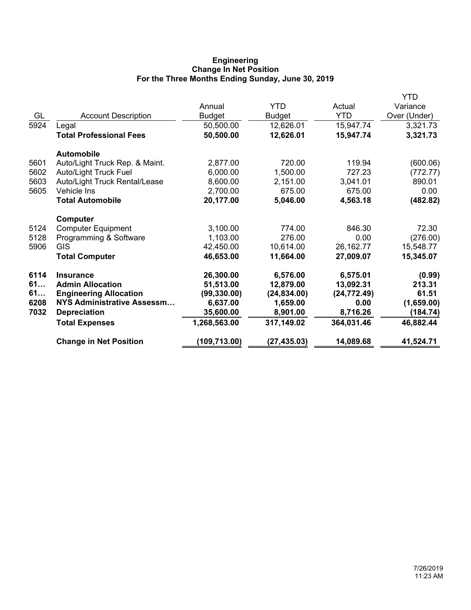## **Engineering Change In Net Position For the Three Months Ending Sunday, June 30, 2019**

| Variance<br>Over (Under)<br>3,321.73<br>3,321.73 |
|--------------------------------------------------|
|                                                  |
|                                                  |
|                                                  |
|                                                  |
|                                                  |
| (600.06)                                         |
| (772.77)                                         |
| 890.01                                           |
| 0.00                                             |
| (482.82)                                         |
|                                                  |
| 72.30                                            |
| (276.00)                                         |
| 15,548.77                                        |
| 15,345.07                                        |
| (0.99)                                           |
| 213.31                                           |
| 61.51                                            |
| (1,659.00)                                       |
| (184.74)                                         |
| 46,882.44                                        |
| 41,524.71                                        |
|                                                  |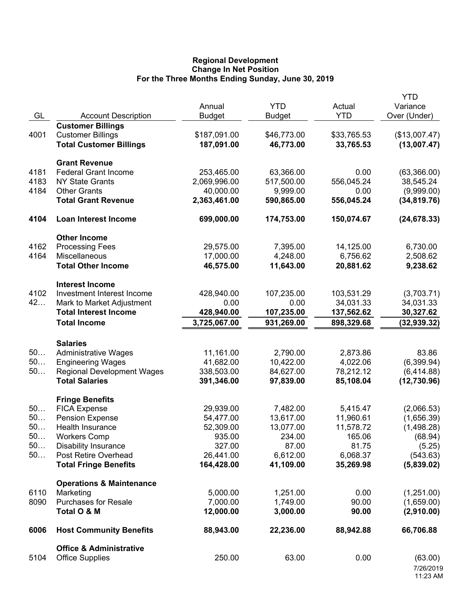## **Regional Development Change In Net Position For the Three Months Ending Sunday, June 30, 2019**

|      |                                     |               |               |             | <b>YTD</b>    |
|------|-------------------------------------|---------------|---------------|-------------|---------------|
|      |                                     | Annual        | <b>YTD</b>    | Actual      | Variance      |
| GL   | <b>Account Description</b>          | <b>Budget</b> | <b>Budget</b> | <b>YTD</b>  | Over (Under)  |
|      | <b>Customer Billings</b>            |               |               |             |               |
| 4001 | <b>Customer Billings</b>            | \$187,091.00  | \$46,773.00   | \$33,765.53 | (\$13,007.47) |
|      | <b>Total Customer Billings</b>      | 187,091.00    | 46,773.00     | 33,765.53   | (13,007.47)   |
|      |                                     |               |               |             |               |
|      | <b>Grant Revenue</b>                |               |               |             |               |
| 4181 | <b>Federal Grant Income</b>         | 253,465.00    | 63,366.00     | 0.00        | (63,366.00)   |
| 4183 | <b>NY State Grants</b>              | 2,069,996.00  | 517,500.00    | 556,045.24  | 38,545.24     |
| 4184 | <b>Other Grants</b>                 | 40,000.00     | 9,999.00      | 0.00        | (9,999.00)    |
|      | <b>Total Grant Revenue</b>          | 2,363,461.00  | 590,865.00    | 556,045.24  | (34, 819.76)  |
| 4104 | <b>Loan Interest Income</b>         | 699,000.00    | 174,753.00    | 150,074.67  | (24, 678.33)  |
|      |                                     |               |               |             |               |
|      | <b>Other Income</b>                 |               |               |             |               |
| 4162 | <b>Processing Fees</b>              | 29,575.00     | 7,395.00      | 14,125.00   | 6,730.00      |
| 4164 | Miscellaneous                       | 17,000.00     | 4,248.00      | 6,756.62    | 2,508.62      |
|      | <b>Total Other Income</b>           | 46,575.00     | 11,643.00     | 20,881.62   | 9,238.62      |
|      |                                     |               |               |             |               |
|      | <b>Interest Income</b>              |               |               |             |               |
| 4102 | Investment Interest Income          | 428,940.00    | 107,235.00    | 103,531.29  | (3,703.71)    |
| 42   | Mark to Market Adjustment           | 0.00          | 0.00          | 34,031.33   | 34,031.33     |
|      | <b>Total Interest Income</b>        | 428,940.00    | 107,235.00    | 137,562.62  | 30,327.62     |
|      | <b>Total Income</b>                 | 3,725,067.00  | 931,269.00    | 898,329.68  | (32, 939.32)  |
|      |                                     |               |               |             |               |
|      | <b>Salaries</b>                     |               |               |             |               |
| 50   | <b>Administrative Wages</b>         | 11,161.00     | 2,790.00      | 2,873.86    | 83.86         |
| 50   | <b>Engineering Wages</b>            | 41,682.00     | 10,422.00     | 4,022.06    | (6, 399.94)   |
| 50   | <b>Regional Development Wages</b>   | 338,503.00    | 84,627.00     | 78,212.12   | (6,414.88)    |
|      | <b>Total Salaries</b>               | 391,346.00    | 97,839.00     | 85,108.04   | (12,730.96)   |
|      |                                     |               |               |             |               |
|      | <b>Fringe Benefits</b>              |               |               |             |               |
| 50   | <b>FICA Expense</b>                 | 29,939.00     | 7,482.00      | 5,415.47    | (2,066.53)    |
| 50   | <b>Pension Expense</b>              | 54,477.00     | 13,617.00     | 11,960.61   | (1,656.39)    |
| 50   | Health Insurance                    | 52,309.00     | 13,077.00     | 11,578.72   | (1,498.28)    |
| 50   | <b>Workers Comp</b>                 | 935.00        | 234.00        | 165.06      | (68.94)       |
| 50   | <b>Disability Insurance</b>         | 327.00        | 87.00         | 81.75       | (5.25)        |
| 50   | Post Retire Overhead                | 26,441.00     | 6,612.00      | 6,068.37    | (543.63)      |
|      | <b>Total Fringe Benefits</b>        | 164,428.00    | 41,109.00     | 35,269.98   | (5,839.02)    |
|      |                                     |               |               |             |               |
|      | <b>Operations &amp; Maintenance</b> |               |               |             |               |
| 6110 | Marketing                           | 5,000.00      | 1,251.00      | 0.00        | (1,251.00)    |
| 8090 | <b>Purchases for Resale</b>         | 7,000.00      | 1,749.00      | 90.00       | (1,659.00)    |
|      | Total O & M                         | 12,000.00     | 3,000.00      | 90.00       | (2,910.00)    |
| 6006 | <b>Host Community Benefits</b>      | 88,943.00     | 22,236.00     | 88,942.88   | 66,706.88     |
|      | <b>Office &amp; Administrative</b>  |               |               |             |               |
| 5104 | <b>Office Supplies</b>              | 250.00        | 63.00         | 0.00        | (63.00)       |
|      |                                     |               |               |             | 7/26/2019     |
|      |                                     |               |               |             |               |